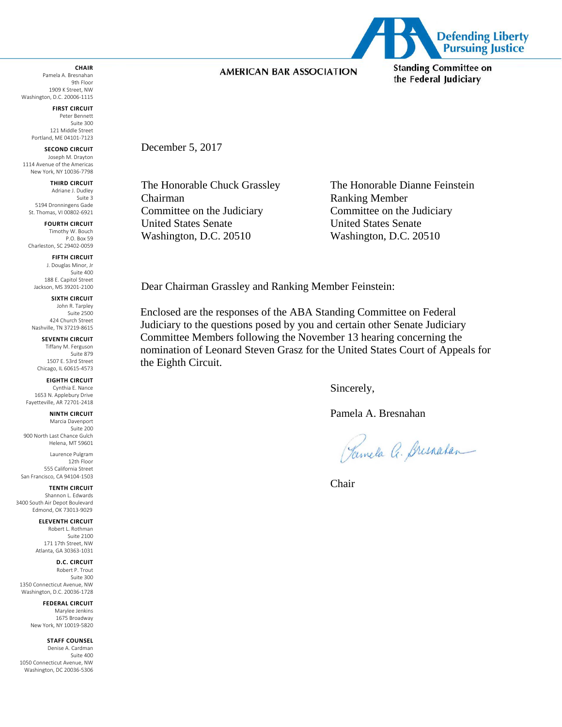#### **CHAIR**

Pamela A. Bresnahan 9th Floor 1909 K Street, NW Washington, D.C. 20006-1115

> **FIRST CIRCUIT** Peter Bennett Suite 300 121 Middle Street Portland, ME 04101-7123

**SECOND CIRCUIT** Joseph M. Drayton 1114 Avenue of the Americas New York, NY 10036-7798

**THIRD CIRCUIT** Adriane J. Dudley Suite 3

5194 Dronningens Gade St. Thomas, VI 00802-6921 **FOURTH CIRCUIT**

Timothy W. Bouch P.O. Box 59 Charleston, SC 29402-0059

**FIFTH CIRCUIT**

J. Douglas Minor, Jr Suite 400 188 E. Capitol Street Jackson, MS 39201-2100

**SIXTH CIRCUIT**

John R. Tarpley Suite 2500 424 Church Street Nashville, TN 37219-8615

**SEVENTH CIRCUIT** Tiffany M. Ferguson Suite 879 1507 E. 53rd Street Chicago, IL 60615-4573

**EIGHTH CIRCUIT** Cynthia E. Nance 1653 N. Applebury Drive Fayetteville, AR 72701-2418

**NINTH CIRCUIT** Marcia Davenport Suite 200

900 North Last Chance Gulch Helena, MT 59601 Laurence Pulgram

12th Floor 555 California Street San Francisco, CA 94104-1503

**TENTH CIRCUIT** Shannon L. Edwards 3400 South Air Depot Boulevard Edmond, OK 73013-9029

**ELEVENTH CIRCUIT**

Robert L. Rothman Suite 2100 171 17th Street, NW Atlanta, GA 30363-1031

**D.C. CIRCUIT**

Robert P. Trout Suite 300 1350 Connecticut Avenue, NW Washington, D.C. 20036-1728

**FEDERAL CIRCUIT**

Marylee Jenkins 1675 Broadway New York, NY 10019-5820

**STAFF COUNSEL**

Denise A. Cardman Suite 400 1050 Connecticut Avenue, NW Washington, DC 20036-5306



December 5, 2017

Chairman Ranking Member Committee on the Judiciary Committee on the Judiciary United States Senate United States Senate Washington, D.C. 20510 Washington, D.C. 20510

The Honorable Chuck Grassley The Honorable Dianne Feinstein

Dear Chairman Grassley and Ranking Member Feinstein:

Enclosed are the responses of the ABA Standing Committee on Federal Judiciary to the questions posed by you and certain other Senate Judiciary Committee Members following the November 13 hearing concerning the nomination of Leonard Steven Grasz for the United States Court of Appeals for the Eighth Circuit.

Sincerely,

Pamela A. Bresnahan

Pamela a. Bresnakan

Chair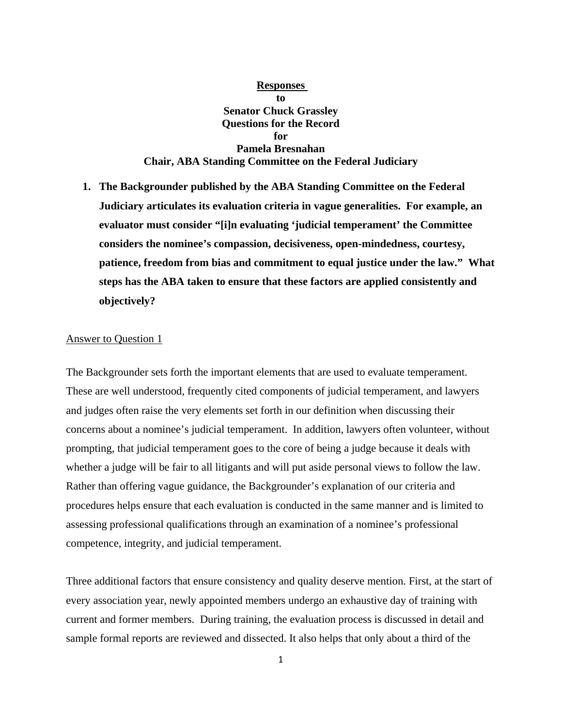# **Responses to Senator Chuck Grassley Questions for the Record for Pamela Bresnahan Chair, ABA Standing Committee on the Federal Judiciary**

**1. The Backgrounder published by the ABA Standing Committee on the Federal Judiciary articulates its evaluation criteria in vague generalities. For example, an evaluator must consider "[i]n evaluating 'judicial temperament' the Committee considers the nominee's compassion, decisiveness, open-mindedness, courtesy, patience, freedom from bias and commitment to equal justice under the law." What steps has the ABA taken to ensure that these factors are applied consistently and objectively?** 

#### Answer to Question 1

The Backgrounder sets forth the important elements that are used to evaluate temperament. These are well understood, frequently cited components of judicial temperament, and lawyers and judges often raise the very elements set forth in our definition when discussing their concerns about a nominee's judicial temperament. In addition, lawyers often volunteer, without prompting, that judicial temperament goes to the core of being a judge because it deals with whether a judge will be fair to all litigants and will put aside personal views to follow the law. Rather than offering vague guidance, the Backgrounder's explanation of our criteria and procedures helps ensure that each evaluation is conducted in the same manner and is limited to assessing professional qualifications through an examination of a nominee's professional competence, integrity, and judicial temperament.

Three additional factors that ensure consistency and quality deserve mention. First, at the start of every association year, newly appointed members undergo an exhaustive day of training with current and former members. During training, the evaluation process is discussed in detail and sample formal reports are reviewed and dissected. It also helps that only about a third of the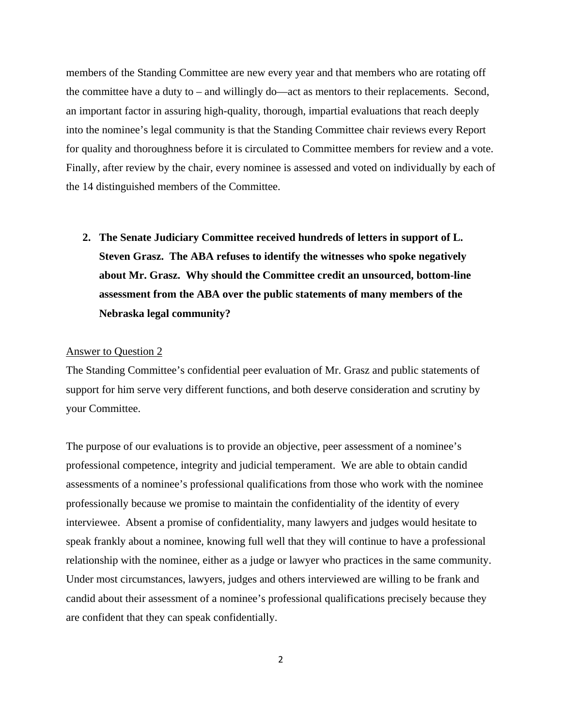members of the Standing Committee are new every year and that members who are rotating off the committee have a duty to – and willingly do—act as mentors to their replacements. Second, an important factor in assuring high-quality, thorough, impartial evaluations that reach deeply into the nominee's legal community is that the Standing Committee chair reviews every Report for quality and thoroughness before it is circulated to Committee members for review and a vote. Finally, after review by the chair, every nominee is assessed and voted on individually by each of the 14 distinguished members of the Committee.

**2. The Senate Judiciary Committee received hundreds of letters in support of L. Steven Grasz. The ABA refuses to identify the witnesses who spoke negatively about Mr. Grasz. Why should the Committee credit an unsourced, bottom-line assessment from the ABA over the public statements of many members of the Nebraska legal community?** 

#### Answer to Question 2

The Standing Committee's confidential peer evaluation of Mr. Grasz and public statements of support for him serve very different functions, and both deserve consideration and scrutiny by your Committee.

The purpose of our evaluations is to provide an objective, peer assessment of a nominee's professional competence, integrity and judicial temperament. We are able to obtain candid assessments of a nominee's professional qualifications from those who work with the nominee professionally because we promise to maintain the confidentiality of the identity of every interviewee. Absent a promise of confidentiality, many lawyers and judges would hesitate to speak frankly about a nominee, knowing full well that they will continue to have a professional relationship with the nominee, either as a judge or lawyer who practices in the same community. Under most circumstances, lawyers, judges and others interviewed are willing to be frank and candid about their assessment of a nominee's professional qualifications precisely because they are confident that they can speak confidentially.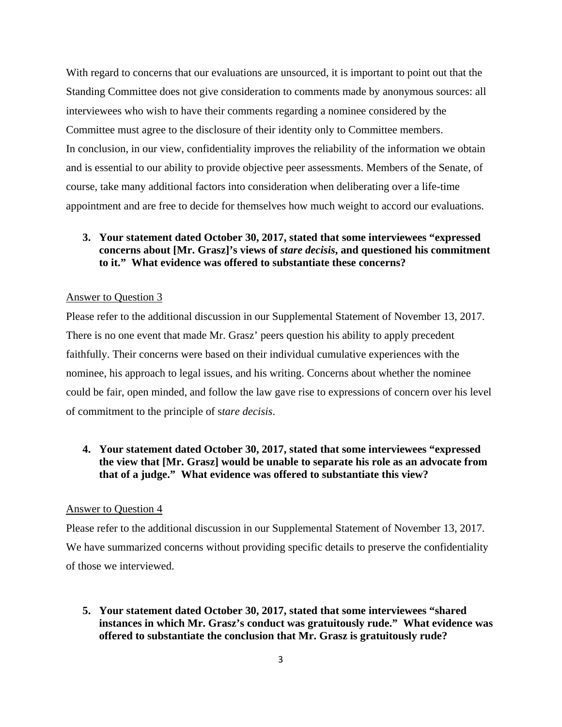With regard to concerns that our evaluations are unsourced, it is important to point out that the Standing Committee does not give consideration to comments made by anonymous sources: all interviewees who wish to have their comments regarding a nominee considered by the Committee must agree to the disclosure of their identity only to Committee members. In conclusion, in our view, confidentiality improves the reliability of the information we obtain and is essential to our ability to provide objective peer assessments. Members of the Senate, of course, take many additional factors into consideration when deliberating over a life-time appointment and are free to decide for themselves how much weight to accord our evaluations.

# **3. Your statement dated October 30, 2017, stated that some interviewees "expressed concerns about [Mr. Grasz]'s views of** *stare decisis***, and questioned his commitment to it." What evidence was offered to substantiate these concerns?**

### Answer to Question 3

Please refer to the additional discussion in our Supplemental Statement of November 13, 2017. There is no one event that made Mr. Grasz' peers question his ability to apply precedent faithfully. Their concerns were based on their individual cumulative experiences with the nominee, his approach to legal issues, and his writing. Concerns about whether the nominee could be fair, open minded, and follow the law gave rise to expressions of concern over his level of commitment to the principle of s*tare decisis*.

# **4. Your statement dated October 30, 2017, stated that some interviewees "expressed the view that [Mr. Grasz] would be unable to separate his role as an advocate from that of a judge." What evidence was offered to substantiate this view?**

### Answer to Question 4

Please refer to the additional discussion in our Supplemental Statement of November 13, 2017. We have summarized concerns without providing specific details to preserve the confidentiality of those we interviewed.

**5. Your statement dated October 30, 2017, stated that some interviewees "shared instances in which Mr. Grasz's conduct was gratuitously rude." What evidence was offered to substantiate the conclusion that Mr. Grasz is gratuitously rude?**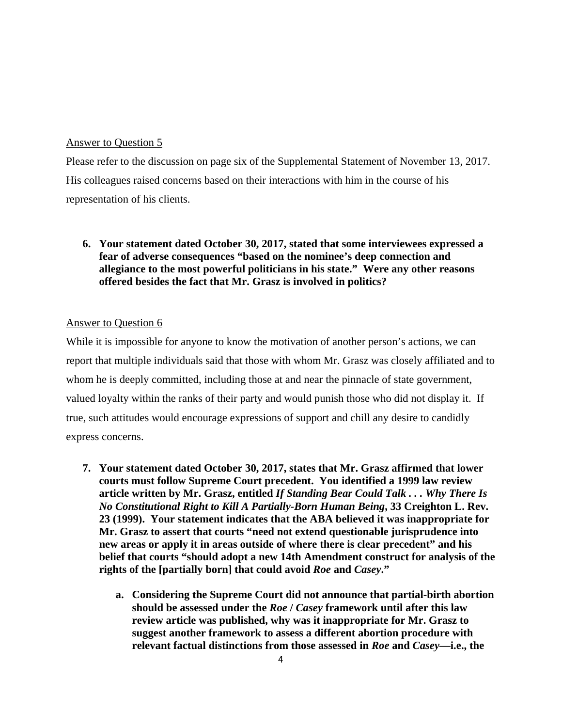# Answer to Question 5

Please refer to the discussion on page six of the Supplemental Statement of November 13, 2017. His colleagues raised concerns based on their interactions with him in the course of his representation of his clients.

# **6. Your statement dated October 30, 2017, stated that some interviewees expressed a fear of adverse consequences "based on the nominee's deep connection and allegiance to the most powerful politicians in his state." Were any other reasons offered besides the fact that Mr. Grasz is involved in politics?**

# Answer to Question 6

While it is impossible for anyone to know the motivation of another person's actions, we can report that multiple individuals said that those with whom Mr. Grasz was closely affiliated and to whom he is deeply committed, including those at and near the pinnacle of state government, valued loyalty within the ranks of their party and would punish those who did not display it. If true, such attitudes would encourage expressions of support and chill any desire to candidly express concerns.

- **7. Your statement dated October 30, 2017, states that Mr. Grasz affirmed that lower courts must follow Supreme Court precedent. You identified a 1999 law review article written by Mr. Grasz, entitled** *If Standing Bear Could Talk . . . Why There Is No Constitutional Right to Kill A Partially-Born Human Being***, 33 Creighton L. Rev. 23 (1999). Your statement indicates that the ABA believed it was inappropriate for Mr. Grasz to assert that courts "need not extend questionable jurisprudence into new areas or apply it in areas outside of where there is clear precedent" and his belief that courts "should adopt a new 14th Amendment construct for analysis of the rights of the [partially born] that could avoid** *Roe* **and** *Casey***."** 
	- **a. Considering the Supreme Court did not announce that partial-birth abortion should be assessed under the** *Roe* **/** *Casey* **framework until after this law review article was published, why was it inappropriate for Mr. Grasz to suggest another framework to assess a different abortion procedure with relevant factual distinctions from those assessed in** *Roe* **and** *Casey***—i.e., the**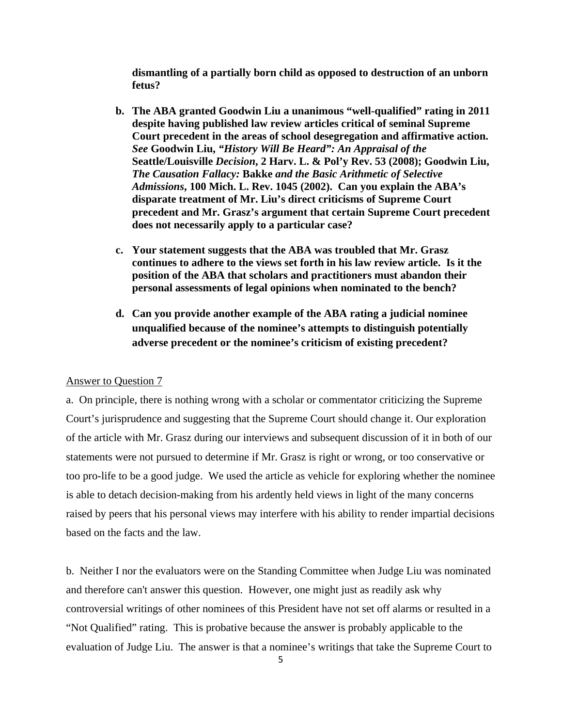**dismantling of a partially born child as opposed to destruction of an unborn fetus?** 

- **b. The ABA granted Goodwin Liu a unanimous "well-qualified" rating in 2011 despite having published law review articles critical of seminal Supreme Court precedent in the areas of school desegregation and affirmative action.**  *See* **Goodwin Liu,** *"History Will Be Heard": An Appraisal of the*  **Seattle/Louisville** *Decision***, 2 Harv. L. & Pol'y Rev. 53 (2008); Goodwin Liu,**  *The Causation Fallacy:* **Bakke** *and the Basic Arithmetic of Selective Admissions***, 100 Mich. L. Rev. 1045 (2002). Can you explain the ABA's disparate treatment of Mr. Liu's direct criticisms of Supreme Court precedent and Mr. Grasz's argument that certain Supreme Court precedent does not necessarily apply to a particular case?**
- **c. Your statement suggests that the ABA was troubled that Mr. Grasz continues to adhere to the views set forth in his law review article. Is it the position of the ABA that scholars and practitioners must abandon their personal assessments of legal opinions when nominated to the bench?**
- **d. Can you provide another example of the ABA rating a judicial nominee unqualified because of the nominee's attempts to distinguish potentially adverse precedent or the nominee's criticism of existing precedent?**

#### Answer to Question 7

a. On principle, there is nothing wrong with a scholar or commentator criticizing the Supreme Court's jurisprudence and suggesting that the Supreme Court should change it. Our exploration of the article with Mr. Grasz during our interviews and subsequent discussion of it in both of our statements were not pursued to determine if Mr. Grasz is right or wrong, or too conservative or too pro-life to be a good judge. We used the article as vehicle for exploring whether the nominee is able to detach decision-making from his ardently held views in light of the many concerns raised by peers that his personal views may interfere with his ability to render impartial decisions based on the facts and the law.

b. Neither I nor the evaluators were on the Standing Committee when Judge Liu was nominated and therefore can't answer this question. However, one might just as readily ask why controversial writings of other nominees of this President have not set off alarms or resulted in a "Not Qualified" rating. This is probative because the answer is probably applicable to the evaluation of Judge Liu. The answer is that a nominee's writings that take the Supreme Court to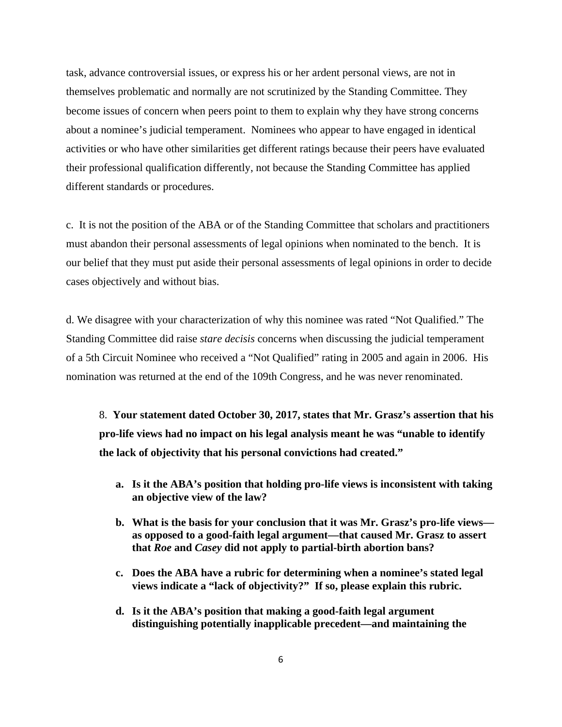task, advance controversial issues, or express his or her ardent personal views, are not in themselves problematic and normally are not scrutinized by the Standing Committee. They become issues of concern when peers point to them to explain why they have strong concerns about a nominee's judicial temperament. Nominees who appear to have engaged in identical activities or who have other similarities get different ratings because their peers have evaluated their professional qualification differently, not because the Standing Committee has applied different standards or procedures.

c. It is not the position of the ABA or of the Standing Committee that scholars and practitioners must abandon their personal assessments of legal opinions when nominated to the bench. It is our belief that they must put aside their personal assessments of legal opinions in order to decide cases objectively and without bias.

d. We disagree with your characterization of why this nominee was rated "Not Qualified." The Standing Committee did raise *stare decisis* concerns when discussing the judicial temperament of a 5th Circuit Nominee who received a "Not Qualified" rating in 2005 and again in 2006. His nomination was returned at the end of the 109th Congress, and he was never renominated.

8. **Your statement dated October 30, 2017, states that Mr. Grasz's assertion that his pro-life views had no impact on his legal analysis meant he was "unable to identify the lack of objectivity that his personal convictions had created."**

- **a. Is it the ABA's position that holding pro-life views is inconsistent with taking an objective view of the law?**
- **b. What is the basis for your conclusion that it was Mr. Grasz's pro-life views as opposed to a good-faith legal argument—that caused Mr. Grasz to assert that** *Roe* **and** *Casey* **did not apply to partial-birth abortion bans?**
- **c. Does the ABA have a rubric for determining when a nominee's stated legal views indicate a "lack of objectivity?" If so, please explain this rubric.**
- **d. Is it the ABA's position that making a good-faith legal argument distinguishing potentially inapplicable precedent—and maintaining the**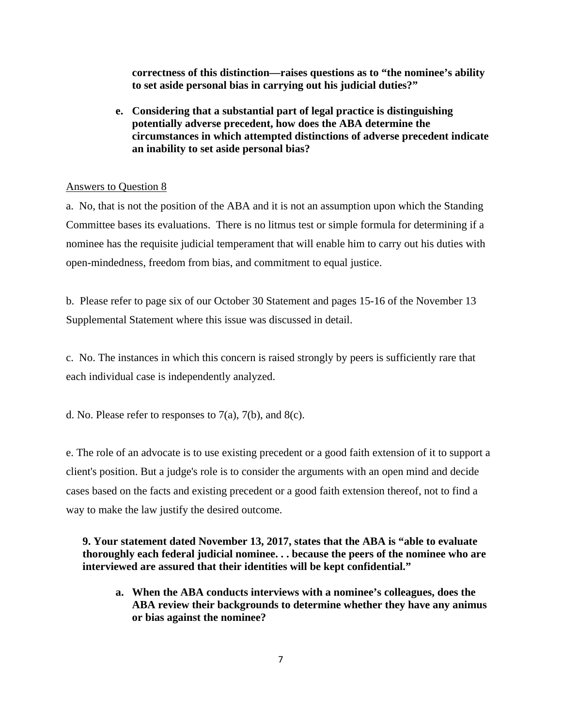**correctness of this distinction—raises questions as to "the nominee's ability to set aside personal bias in carrying out his judicial duties?"** 

**e. Considering that a substantial part of legal practice is distinguishing potentially adverse precedent, how does the ABA determine the circumstances in which attempted distinctions of adverse precedent indicate an inability to set aside personal bias?** 

### Answers to Question 8

a. No, that is not the position of the ABA and it is not an assumption upon which the Standing Committee bases its evaluations. There is no litmus test or simple formula for determining if a nominee has the requisite judicial temperament that will enable him to carry out his duties with open-mindedness, freedom from bias, and commitment to equal justice.

b. Please refer to page six of our October 30 Statement and pages 15-16 of the November 13 Supplemental Statement where this issue was discussed in detail.

c. No. The instances in which this concern is raised strongly by peers is sufficiently rare that each individual case is independently analyzed.

d. No. Please refer to responses to  $7(a)$ ,  $7(b)$ , and  $8(c)$ .

e. The role of an advocate is to use existing precedent or a good faith extension of it to support a client's position. But a judge's role is to consider the arguments with an open mind and decide cases based on the facts and existing precedent or a good faith extension thereof, not to find a way to make the law justify the desired outcome.

**9. Your statement dated November 13, 2017, states that the ABA is "able to evaluate thoroughly each federal judicial nominee. . . because the peers of the nominee who are interviewed are assured that their identities will be kept confidential."** 

**a. When the ABA conducts interviews with a nominee's colleagues, does the ABA review their backgrounds to determine whether they have any animus or bias against the nominee?**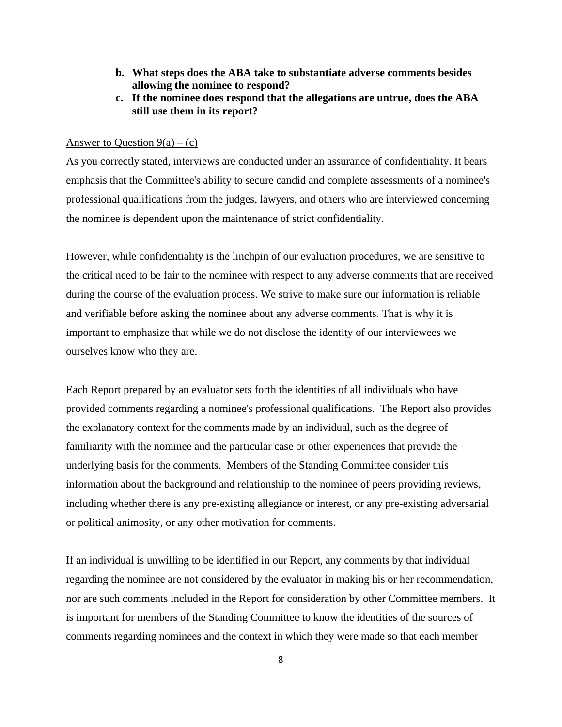- **b. What steps does the ABA take to substantiate adverse comments besides allowing the nominee to respond?**
- **c. If the nominee does respond that the allegations are untrue, does the ABA still use them in its report?**

## Answer to Question  $9(a) - (c)$

As you correctly stated, interviews are conducted under an assurance of confidentiality. It bears emphasis that the Committee's ability to secure candid and complete assessments of a nominee's professional qualifications from the judges, lawyers, and others who are interviewed concerning the nominee is dependent upon the maintenance of strict confidentiality.

However, while confidentiality is the linchpin of our evaluation procedures, we are sensitive to the critical need to be fair to the nominee with respect to any adverse comments that are received during the course of the evaluation process. We strive to make sure our information is reliable and verifiable before asking the nominee about any adverse comments. That is why it is important to emphasize that while we do not disclose the identity of our interviewees we ourselves know who they are.

Each Report prepared by an evaluator sets forth the identities of all individuals who have provided comments regarding a nominee's professional qualifications. The Report also provides the explanatory context for the comments made by an individual, such as the degree of familiarity with the nominee and the particular case or other experiences that provide the underlying basis for the comments. Members of the Standing Committee consider this information about the background and relationship to the nominee of peers providing reviews, including whether there is any pre-existing allegiance or interest, or any pre-existing adversarial or political animosity, or any other motivation for comments.

If an individual is unwilling to be identified in our Report, any comments by that individual regarding the nominee are not considered by the evaluator in making his or her recommendation, nor are such comments included in the Report for consideration by other Committee members. It is important for members of the Standing Committee to know the identities of the sources of comments regarding nominees and the context in which they were made so that each member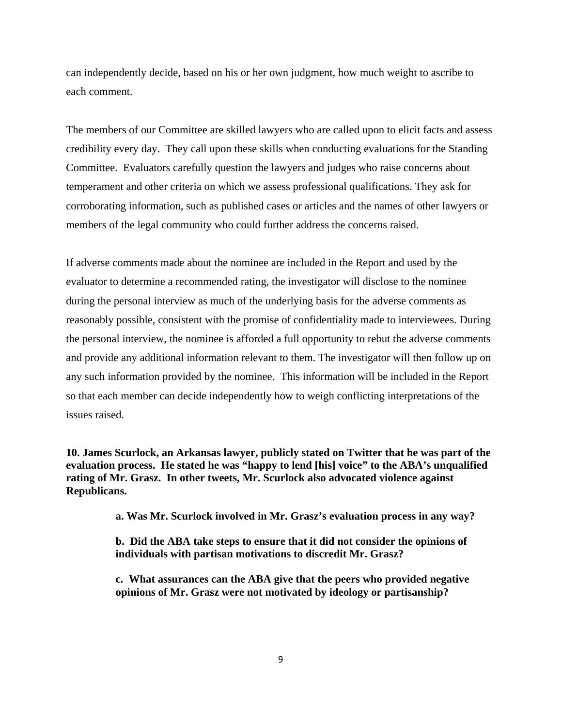can independently decide, based on his or her own judgment, how much weight to ascribe to each comment.

The members of our Committee are skilled lawyers who are called upon to elicit facts and assess credibility every day. They call upon these skills when conducting evaluations for the Standing Committee. Evaluators carefully question the lawyers and judges who raise concerns about temperament and other criteria on which we assess professional qualifications. They ask for corroborating information, such as published cases or articles and the names of other lawyers or members of the legal community who could further address the concerns raised.

If adverse comments made about the nominee are included in the Report and used by the evaluator to determine a recommended rating, the investigator will disclose to the nominee during the personal interview as much of the underlying basis for the adverse comments as reasonably possible, consistent with the promise of confidentiality made to interviewees. During the personal interview, the nominee is afforded a full opportunity to rebut the adverse comments and provide any additional information relevant to them. The investigator will then follow up on any such information provided by the nominee. This information will be included in the Report so that each member can decide independently how to weigh conflicting interpretations of the issues raised.

**10. James Scurlock, an Arkansas lawyer, publicly stated on Twitter that he was part of the evaluation process. He stated he was "happy to lend [his] voice" to the ABA's unqualified rating of Mr. Grasz. In other tweets, Mr. Scurlock also advocated violence against Republicans.** 

**a. Was Mr. Scurlock involved in Mr. Grasz's evaluation process in any way?** 

**b. Did the ABA take steps to ensure that it did not consider the opinions of individuals with partisan motivations to discredit Mr. Grasz?** 

**c. What assurances can the ABA give that the peers who provided negative opinions of Mr. Grasz were not motivated by ideology or partisanship?**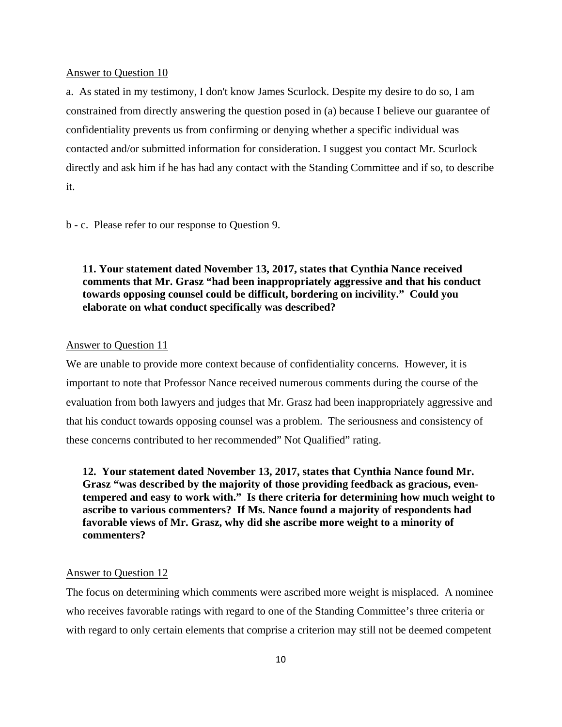#### Answer to Question 10

a. As stated in my testimony, I don't know James Scurlock. Despite my desire to do so, I am constrained from directly answering the question posed in (a) because I believe our guarantee of confidentiality prevents us from confirming or denying whether a specific individual was contacted and/or submitted information for consideration. I suggest you contact Mr. Scurlock directly and ask him if he has had any contact with the Standing Committee and if so, to describe it.

b - c. Please refer to our response to Question 9.

**11. Your statement dated November 13, 2017, states that Cynthia Nance received comments that Mr. Grasz "had been inappropriately aggressive and that his conduct towards opposing counsel could be difficult, bordering on incivility." Could you elaborate on what conduct specifically was described?** 

# Answer to Question 11

We are unable to provide more context because of confidentiality concerns. However, it is important to note that Professor Nance received numerous comments during the course of the evaluation from both lawyers and judges that Mr. Grasz had been inappropriately aggressive and that his conduct towards opposing counsel was a problem. The seriousness and consistency of these concerns contributed to her recommended" Not Qualified" rating.

**12. Your statement dated November 13, 2017, states that Cynthia Nance found Mr. Grasz "was described by the majority of those providing feedback as gracious, eventempered and easy to work with." Is there criteria for determining how much weight to ascribe to various commenters? If Ms. Nance found a majority of respondents had favorable views of Mr. Grasz, why did she ascribe more weight to a minority of commenters?** 

### Answer to Question 12

The focus on determining which comments were ascribed more weight is misplaced. A nominee who receives favorable ratings with regard to one of the Standing Committee's three criteria or with regard to only certain elements that comprise a criterion may still not be deemed competent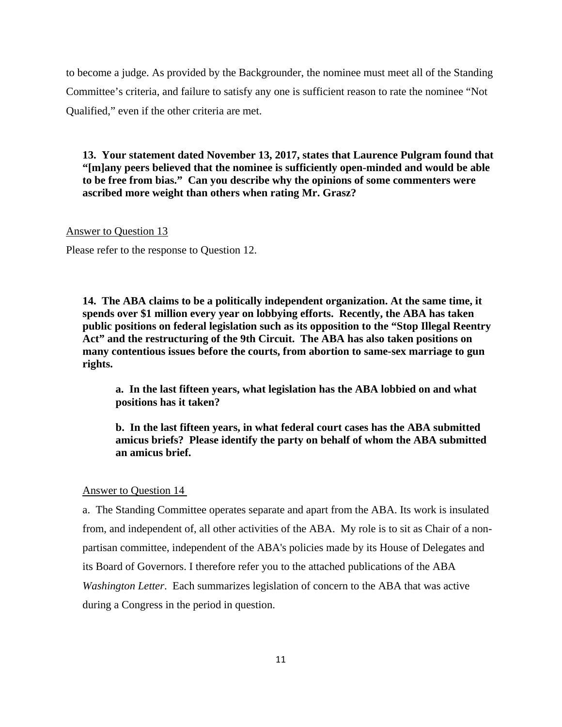to become a judge. As provided by the Backgrounder, the nominee must meet all of the Standing Committee's criteria, and failure to satisfy any one is sufficient reason to rate the nominee "Not Qualified," even if the other criteria are met.

**13. Your statement dated November 13, 2017, states that Laurence Pulgram found that "[m]any peers believed that the nominee is sufficiently open-minded and would be able to be free from bias." Can you describe why the opinions of some commenters were ascribed more weight than others when rating Mr. Grasz?** 

#### Answer to Question 13

Please refer to the response to Question 12.

**14. The ABA claims to be a politically independent organization. At the same time, it spends over \$1 million every year on lobbying efforts. Recently, the ABA has taken public positions on federal legislation such as its opposition to the "Stop Illegal Reentry Act" and the restructuring of the 9th Circuit. The ABA has also taken positions on many contentious issues before the courts, from abortion to same-sex marriage to gun rights.** 

**a. In the last fifteen years, what legislation has the ABA lobbied on and what positions has it taken?** 

**b. In the last fifteen years, in what federal court cases has the ABA submitted amicus briefs? Please identify the party on behalf of whom the ABA submitted an amicus brief.** 

#### Answer to Question 14

a. The Standing Committee operates separate and apart from the ABA. Its work is insulated from, and independent of, all other activities of the ABA. My role is to sit as Chair of a nonpartisan committee, independent of the ABA's policies made by its House of Delegates and its Board of Governors. I therefore refer you to the attached publications of the ABA *Washington Letter*. Each summarizes legislation of concern to the ABA that was active during a Congress in the period in question.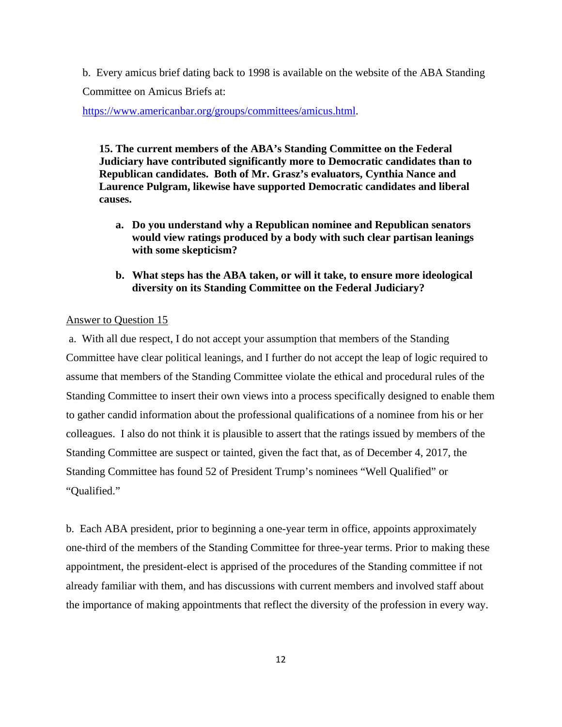b. Every amicus brief dating back to 1998 is available on the website of the ABA Standing Committee on Amicus Briefs at:

https://www.americanbar.org/groups/committees/amicus.html.

**15. The current members of the ABA's Standing Committee on the Federal Judiciary have contributed significantly more to Democratic candidates than to Republican candidates. Both of Mr. Grasz's evaluators, Cynthia Nance and Laurence Pulgram, likewise have supported Democratic candidates and liberal causes.** 

- **a. Do you understand why a Republican nominee and Republican senators would view ratings produced by a body with such clear partisan leanings with some skepticism?**
- **b. What steps has the ABA taken, or will it take, to ensure more ideological diversity on its Standing Committee on the Federal Judiciary?**

# Answer to Question 15

 a. With all due respect, I do not accept your assumption that members of the Standing Committee have clear political leanings, and I further do not accept the leap of logic required to assume that members of the Standing Committee violate the ethical and procedural rules of the Standing Committee to insert their own views into a process specifically designed to enable them to gather candid information about the professional qualifications of a nominee from his or her colleagues. I also do not think it is plausible to assert that the ratings issued by members of the Standing Committee are suspect or tainted, given the fact that, as of December 4, 2017, the Standing Committee has found 52 of President Trump's nominees "Well Qualified" or "Qualified."

b. Each ABA president, prior to beginning a one-year term in office, appoints approximately one-third of the members of the Standing Committee for three-year terms. Prior to making these appointment, the president-elect is apprised of the procedures of the Standing committee if not already familiar with them, and has discussions with current members and involved staff about the importance of making appointments that reflect the diversity of the profession in every way.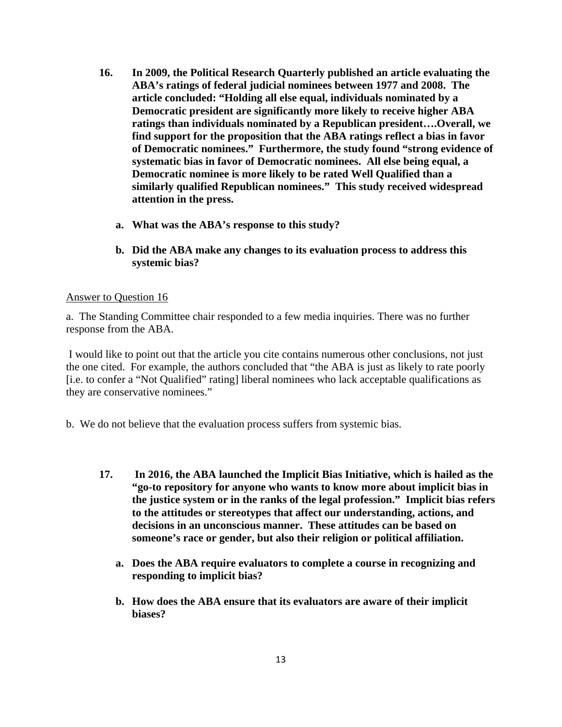- **16. In 2009, the Political Research Quarterly published an article evaluating the ABA's ratings of federal judicial nominees between 1977 and 2008. The article concluded: "Holding all else equal, individuals nominated by a Democratic president are significantly more likely to receive higher ABA ratings than individuals nominated by a Republican president….Overall, we find support for the proposition that the ABA ratings reflect a bias in favor of Democratic nominees." Furthermore, the study found "strong evidence of systematic bias in favor of Democratic nominees. All else being equal, a Democratic nominee is more likely to be rated Well Qualified than a similarly qualified Republican nominees." This study received widespread attention in the press.** 
	- **a. What was the ABA's response to this study?**
	- **b. Did the ABA make any changes to its evaluation process to address this systemic bias?**

## Answer to Question 16

a. The Standing Committee chair responded to a few media inquiries. There was no further response from the ABA.

 I would like to point out that the article you cite contains numerous other conclusions, not just the one cited. For example, the authors concluded that "the ABA is just as likely to rate poorly [i.e. to confer a "Not Qualified" rating] liberal nominees who lack acceptable qualifications as they are conservative nominees."

b. We do not believe that the evaluation process suffers from systemic bias.

- **17. In 2016, the ABA launched the Implicit Bias Initiative, which is hailed as the "go-to repository for anyone who wants to know more about implicit bias in the justice system or in the ranks of the legal profession." Implicit bias refers to the attitudes or stereotypes that affect our understanding, actions, and decisions in an unconscious manner. These attitudes can be based on someone's race or gender, but also their religion or political affiliation.** 
	- **a. Does the ABA require evaluators to complete a course in recognizing and responding to implicit bias?**
	- **b. How does the ABA ensure that its evaluators are aware of their implicit biases?**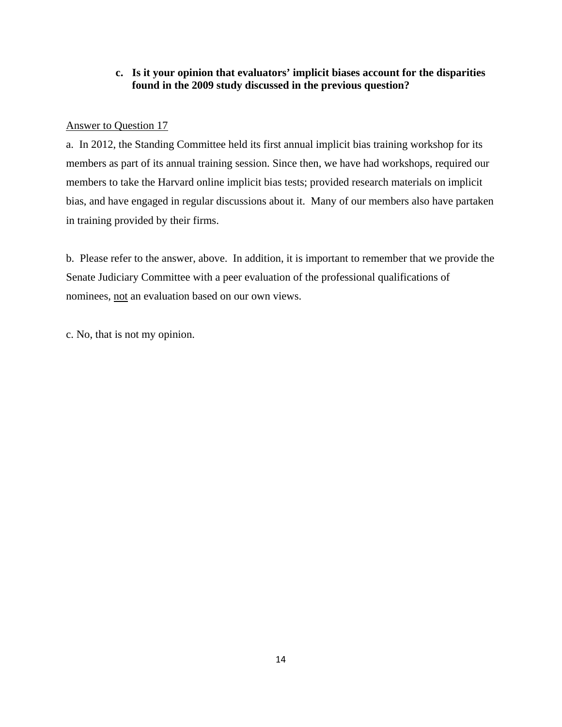# **c. Is it your opinion that evaluators' implicit biases account for the disparities found in the 2009 study discussed in the previous question?**

# Answer to Question 17

a. In 2012, the Standing Committee held its first annual implicit bias training workshop for its members as part of its annual training session. Since then, we have had workshops, required our members to take the Harvard online implicit bias tests; provided research materials on implicit bias, and have engaged in regular discussions about it. Many of our members also have partaken in training provided by their firms.

b. Please refer to the answer, above. In addition, it is important to remember that we provide the Senate Judiciary Committee with a peer evaluation of the professional qualifications of nominees, not an evaluation based on our own views.

c. No, that is not my opinion.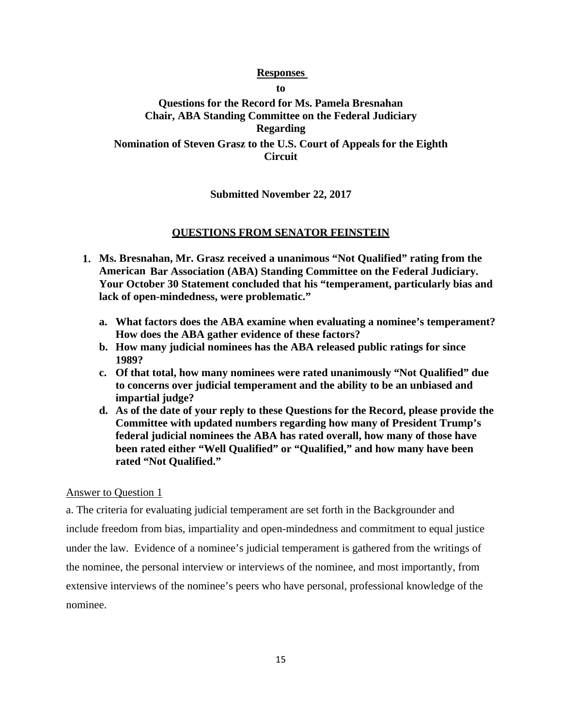# **Responses**

**to** 

# **Questions for the Record for Ms. Pamela Bresnahan Chair, ABA Standing Committee on the Federal Judiciary Regarding Nomination of Steven Grasz to the U.S. Court of Appeals for the Eighth Circuit**

# **Submitted November 22, 2017**

# **QUESTIONS FROM SENATOR FEINSTEIN**

- **1. Ms. Bresnahan, Mr. Grasz received a unanimous "Not Qualified" rating from the American Bar Association (ABA) Standing Committee on the Federal Judiciary. Your October 30 Statement concluded that his "temperament, particularly bias and lack of open-mindedness, were problematic."** 
	- **a. What factors does the ABA examine when evaluating a nominee's temperament? How does the ABA gather evidence of these factors?**
	- **b. How many judicial nominees has the ABA released public ratings for since 1989?**
	- **c. Of that total, how many nominees were rated unanimously "Not Qualified" due to concerns over judicial temperament and the ability to be an unbiased and impartial judge?**
	- **d. As of the date of your reply to these Questions for the Record, please provide the Committee with updated numbers regarding how many of President Trump's federal judicial nominees the ABA has rated overall, how many of those have been rated either "Well Qualified" or "Qualified," and how many have been rated "Not Qualified."**

## Answer to Question 1

a. The criteria for evaluating judicial temperament are set forth in the Backgrounder and include freedom from bias, impartiality and open-mindedness and commitment to equal justice under the law. Evidence of a nominee's judicial temperament is gathered from the writings of the nominee, the personal interview or interviews of the nominee, and most importantly, from extensive interviews of the nominee's peers who have personal, professional knowledge of the nominee.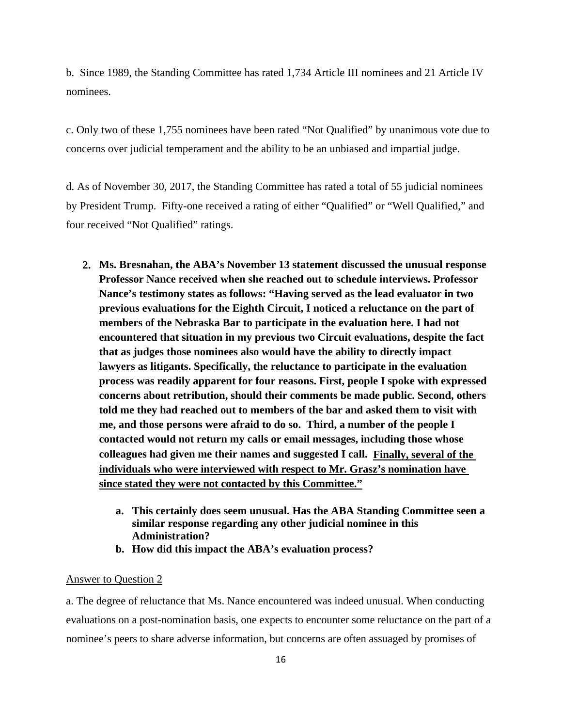b. Since 1989, the Standing Committee has rated 1,734 Article III nominees and 21 Article IV nominees.

c. Only two of these 1,755 nominees have been rated "Not Qualified" by unanimous vote due to concerns over judicial temperament and the ability to be an unbiased and impartial judge.

d. As of November 30, 2017, the Standing Committee has rated a total of 55 judicial nominees by President Trump. Fifty-one received a rating of either "Qualified" or "Well Qualified," and four received "Not Qualified" ratings.

- **2. Ms. Bresnahan, the ABA's November 13 statement discussed the unusual response Professor Nance received when she reached out to schedule interviews. Professor Nance's testimony states as follows: "Having served as the lead evaluator in two previous evaluations for the Eighth Circuit, I noticed a reluctance on the part of members of the Nebraska Bar to participate in the evaluation here. I had not encountered that situation in my previous two Circuit evaluations, despite the fact that as judges those nominees also would have the ability to directly impact lawyers as litigants. Specifically, the reluctance to participate in the evaluation process was readily apparent for four reasons. First, people I spoke with expressed concerns about retribution, should their comments be made public. Second, others told me they had reached out to members of the bar and asked them to visit with me, and those persons were afraid to do so. Third, a number of the people I contacted would not return my calls or email messages, including those whose colleagues had given me their names and suggested I call. Finally, several of the individuals who were interviewed with respect to Mr. Grasz's nomination have since stated they were not contacted by this Committee."** 
	- **a. This certainly does seem unusual. Has the ABA Standing Committee seen a similar response regarding any other judicial nominee in this Administration?**
	- **b. How did this impact the ABA's evaluation process?**

#### Answer to Question 2

a. The degree of reluctance that Ms. Nance encountered was indeed unusual. When conducting evaluations on a post-nomination basis, one expects to encounter some reluctance on the part of a nominee's peers to share adverse information, but concerns are often assuaged by promises of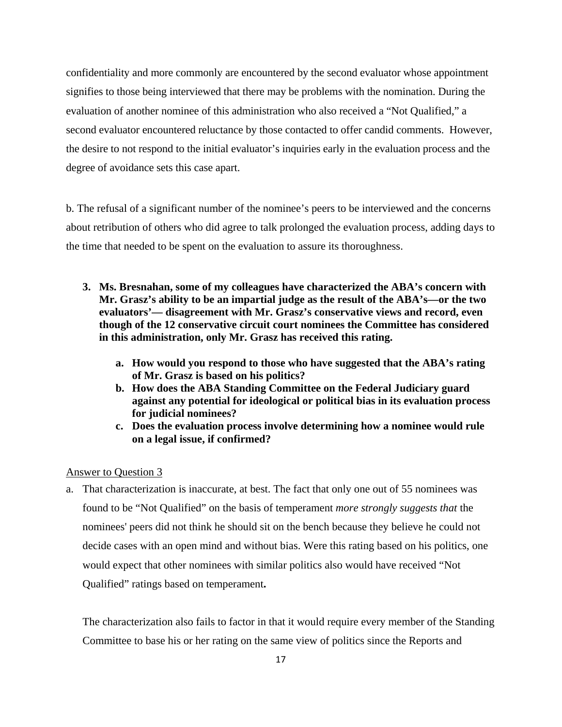confidentiality and more commonly are encountered by the second evaluator whose appointment signifies to those being interviewed that there may be problems with the nomination. During the evaluation of another nominee of this administration who also received a "Not Qualified," a second evaluator encountered reluctance by those contacted to offer candid comments. However, the desire to not respond to the initial evaluator's inquiries early in the evaluation process and the degree of avoidance sets this case apart.

b. The refusal of a significant number of the nominee's peers to be interviewed and the concerns about retribution of others who did agree to talk prolonged the evaluation process, adding days to the time that needed to be spent on the evaluation to assure its thoroughness.

- **3. Ms. Bresnahan, some of my colleagues have characterized the ABA's concern with Mr. Grasz's ability to be an impartial judge as the result of the ABA's—or the two evaluators'— disagreement with Mr. Grasz's conservative views and record, even though of the 12 conservative circuit court nominees the Committee has considered in this administration, only Mr. Grasz has received this rating.** 
	- **a. How would you respond to those who have suggested that the ABA's rating of Mr. Grasz is based on his politics?**
	- **b. How does the ABA Standing Committee on the Federal Judiciary guard against any potential for ideological or political bias in its evaluation process for judicial nominees?**
	- **c. Does the evaluation process involve determining how a nominee would rule on a legal issue, if confirmed?**

## Answer to Question 3

a. That characterization is inaccurate, at best. The fact that only one out of 55 nominees was found to be "Not Qualified" on the basis of temperament *more strongly suggests that* the nominees' peers did not think he should sit on the bench because they believe he could not decide cases with an open mind and without bias. Were this rating based on his politics, one would expect that other nominees with similar politics also would have received "Not Qualified" ratings based on temperament**.**

The characterization also fails to factor in that it would require every member of the Standing Committee to base his or her rating on the same view of politics since the Reports and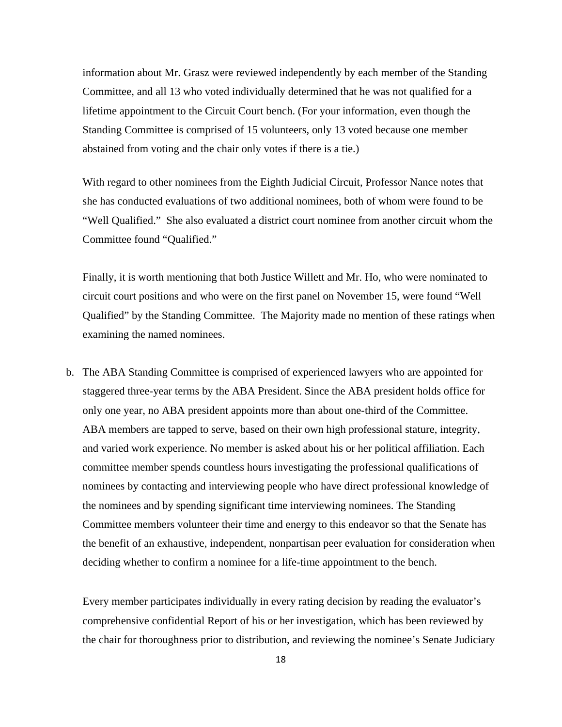information about Mr. Grasz were reviewed independently by each member of the Standing Committee, and all 13 who voted individually determined that he was not qualified for a lifetime appointment to the Circuit Court bench. (For your information, even though the Standing Committee is comprised of 15 volunteers, only 13 voted because one member abstained from voting and the chair only votes if there is a tie.)

With regard to other nominees from the Eighth Judicial Circuit, Professor Nance notes that she has conducted evaluations of two additional nominees, both of whom were found to be "Well Qualified." She also evaluated a district court nominee from another circuit whom the Committee found "Qualified."

Finally, it is worth mentioning that both Justice Willett and Mr. Ho, who were nominated to circuit court positions and who were on the first panel on November 15, were found "Well Qualified" by the Standing Committee. The Majority made no mention of these ratings when examining the named nominees.

b. The ABA Standing Committee is comprised of experienced lawyers who are appointed for staggered three-year terms by the ABA President. Since the ABA president holds office for only one year, no ABA president appoints more than about one-third of the Committee. ABA members are tapped to serve, based on their own high professional stature, integrity, and varied work experience. No member is asked about his or her political affiliation. Each committee member spends countless hours investigating the professional qualifications of nominees by contacting and interviewing people who have direct professional knowledge of the nominees and by spending significant time interviewing nominees. The Standing Committee members volunteer their time and energy to this endeavor so that the Senate has the benefit of an exhaustive, independent, nonpartisan peer evaluation for consideration when deciding whether to confirm a nominee for a life-time appointment to the bench.

Every member participates individually in every rating decision by reading the evaluator's comprehensive confidential Report of his or her investigation, which has been reviewed by the chair for thoroughness prior to distribution, and reviewing the nominee's Senate Judiciary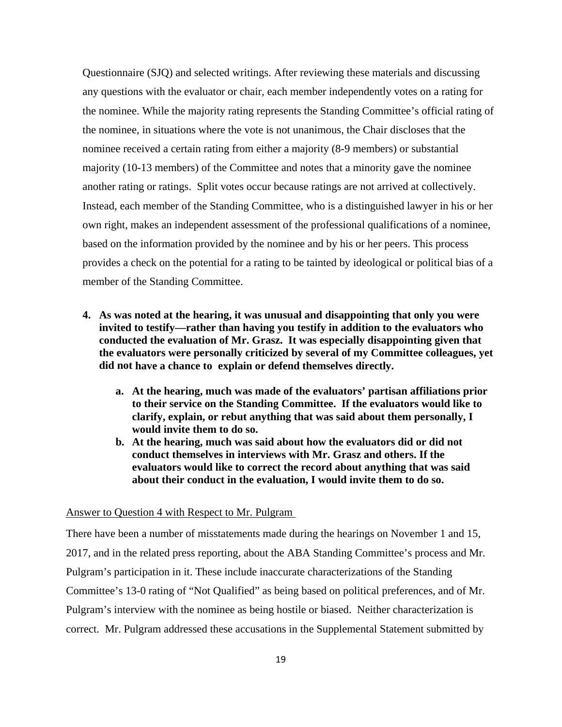Questionnaire (SJQ) and selected writings. After reviewing these materials and discussing any questions with the evaluator or chair, each member independently votes on a rating for the nominee. While the majority rating represents the Standing Committee's official rating of the nominee, in situations where the vote is not unanimous, the Chair discloses that the nominee received a certain rating from either a majority (8-9 members) or substantial majority (10-13 members) of the Committee and notes that a minority gave the nominee another rating or ratings. Split votes occur because ratings are not arrived at collectively. Instead, each member of the Standing Committee, who is a distinguished lawyer in his or her own right, makes an independent assessment of the professional qualifications of a nominee, based on the information provided by the nominee and by his or her peers. This process provides a check on the potential for a rating to be tainted by ideological or political bias of a member of the Standing Committee.

- **4. As was noted at the hearing, it was unusual and disappointing that only you were invited to testify—rather than having you testify in addition to the evaluators who conducted the evaluation of Mr. Grasz. It was especially disappointing given that the evaluators were personally criticized by several of my Committee colleagues, yet did not have a chance to explain or defend themselves directly.** 
	- **a. At the hearing, much was made of the evaluators' partisan affiliations prior to their service on the Standing Committee. If the evaluators would like to clarify, explain, or rebut anything that was said about them personally, I would invite them to do so.**
	- **b. At the hearing, much was said about how the evaluators did or did not conduct themselves in interviews with Mr. Grasz and others. If the evaluators would like to correct the record about anything that was said about their conduct in the evaluation, I would invite them to do so.**

### Answer to Question 4 with Respect to Mr. Pulgram

There have been a number of misstatements made during the hearings on November 1 and 15, 2017, and in the related press reporting, about the ABA Standing Committee's process and Mr. Pulgram's participation in it. These include inaccurate characterizations of the Standing Committee's 13-0 rating of "Not Qualified" as being based on political preferences, and of Mr. Pulgram's interview with the nominee as being hostile or biased. Neither characterization is correct. Mr. Pulgram addressed these accusations in the Supplemental Statement submitted by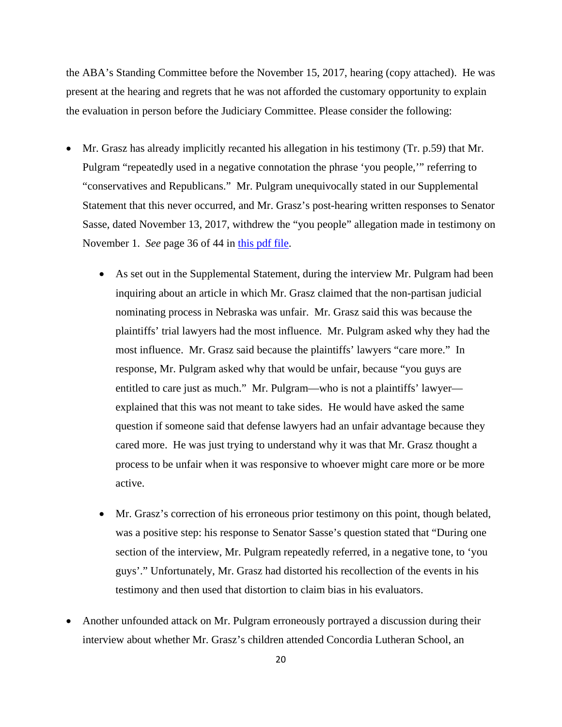the ABA's Standing Committee before the November 15, 2017, hearing (copy attached). He was present at the hearing and regrets that he was not afforded the customary opportunity to explain the evaluation in person before the Judiciary Committee. Please consider the following:

- Mr. Grasz has already implicitly recanted his allegation in his testimony (Tr. p.59) that Mr. Pulgram "repeatedly used in a negative connotation the phrase 'you people,'" referring to "conservatives and Republicans." Mr. Pulgram unequivocally stated in our Supplemental Statement that this never occurred, and Mr. Grasz's post-hearing written responses to Senator Sasse, dated November 13, 2017, withdrew the "you people" allegation made in testimony on November 1. *See* page 36 of 44 in this pdf file.
	- As set out in the Supplemental Statement, during the interview Mr. Pulgram had been inquiring about an article in which Mr. Grasz claimed that the non-partisan judicial nominating process in Nebraska was unfair. Mr. Grasz said this was because the plaintiffs' trial lawyers had the most influence. Mr. Pulgram asked why they had the most influence. Mr. Grasz said because the plaintiffs' lawyers "care more." In response, Mr. Pulgram asked why that would be unfair, because "you guys are entitled to care just as much." Mr. Pulgram—who is not a plaintiffs' lawyer explained that this was not meant to take sides. He would have asked the same question if someone said that defense lawyers had an unfair advantage because they cared more. He was just trying to understand why it was that Mr. Grasz thought a process to be unfair when it was responsive to whoever might care more or be more active.
	- Mr. Grasz's correction of his erroneous prior testimony on this point, though belated, was a positive step: his response to Senator Sasse's question stated that "During one section of the interview, Mr. Pulgram repeatedly referred, in a negative tone, to 'you guys'." Unfortunately, Mr. Grasz had distorted his recollection of the events in his testimony and then used that distortion to claim bias in his evaluators.
- Another unfounded attack on Mr. Pulgram erroneously portrayed a discussion during their interview about whether Mr. Grasz's children attended Concordia Lutheran School, an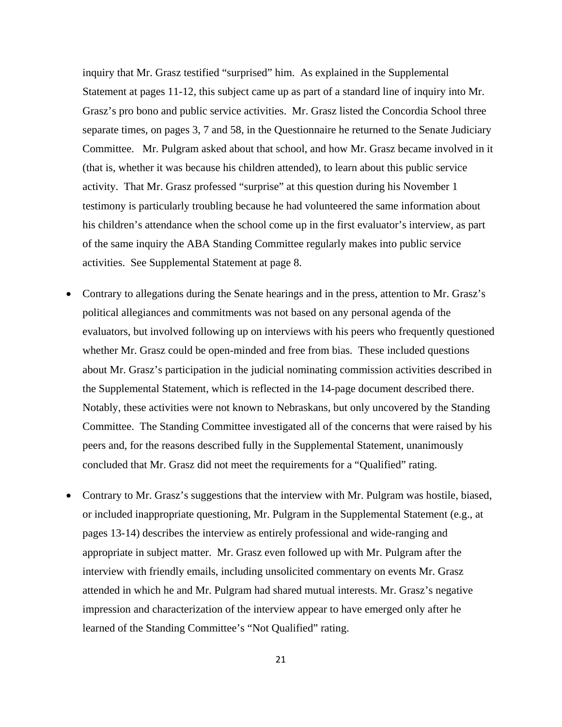inquiry that Mr. Grasz testified "surprised" him. As explained in the Supplemental Statement at pages 11-12, this subject came up as part of a standard line of inquiry into Mr. Grasz's pro bono and public service activities. Mr. Grasz listed the Concordia School three separate times, on pages 3, 7 and 58, in the Questionnaire he returned to the Senate Judiciary Committee. Mr. Pulgram asked about that school, and how Mr. Grasz became involved in it (that is, whether it was because his children attended), to learn about this public service activity. That Mr. Grasz professed "surprise" at this question during his November 1 testimony is particularly troubling because he had volunteered the same information about his children's attendance when the school come up in the first evaluator's interview, as part of the same inquiry the ABA Standing Committee regularly makes into public service activities. See Supplemental Statement at page 8.

- Contrary to allegations during the Senate hearings and in the press, attention to Mr. Grasz's political allegiances and commitments was not based on any personal agenda of the evaluators, but involved following up on interviews with his peers who frequently questioned whether Mr. Grasz could be open-minded and free from bias. These included questions about Mr. Grasz's participation in the judicial nominating commission activities described in the Supplemental Statement, which is reflected in the 14-page document described there. Notably, these activities were not known to Nebraskans, but only uncovered by the Standing Committee. The Standing Committee investigated all of the concerns that were raised by his peers and, for the reasons described fully in the Supplemental Statement, unanimously concluded that Mr. Grasz did not meet the requirements for a "Qualified" rating.
- Contrary to Mr. Grasz's suggestions that the interview with Mr. Pulgram was hostile, biased, or included inappropriate questioning, Mr. Pulgram in the Supplemental Statement (e.g., at pages 13-14) describes the interview as entirely professional and wide-ranging and appropriate in subject matter. Mr. Grasz even followed up with Mr. Pulgram after the interview with friendly emails, including unsolicited commentary on events Mr. Grasz attended in which he and Mr. Pulgram had shared mutual interests. Mr. Grasz's negative impression and characterization of the interview appear to have emerged only after he learned of the Standing Committee's "Not Qualified" rating.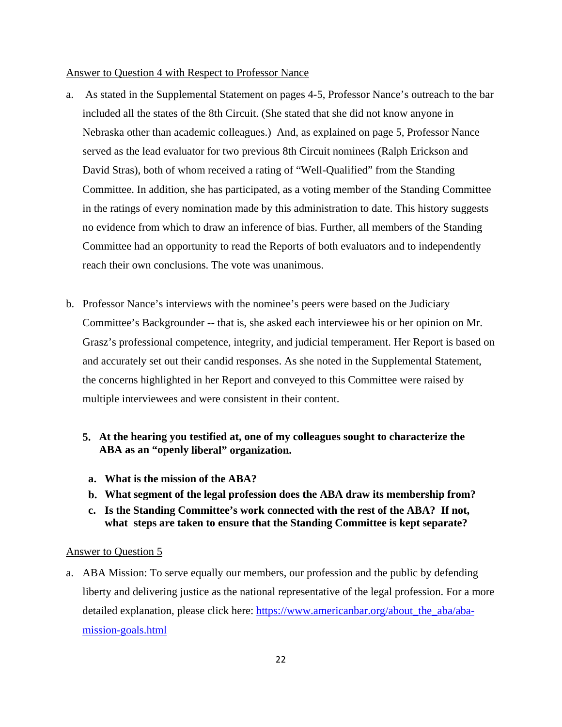#### Answer to Question 4 with Respect to Professor Nance

- a. As stated in the Supplemental Statement on pages 4-5, Professor Nance's outreach to the bar included all the states of the 8th Circuit. (She stated that she did not know anyone in Nebraska other than academic colleagues.) And, as explained on page 5, Professor Nance served as the lead evaluator for two previous 8th Circuit nominees (Ralph Erickson and David Stras), both of whom received a rating of "Well-Qualified" from the Standing Committee. In addition, she has participated, as a voting member of the Standing Committee in the ratings of every nomination made by this administration to date. This history suggests no evidence from which to draw an inference of bias. Further, all members of the Standing Committee had an opportunity to read the Reports of both evaluators and to independently reach their own conclusions. The vote was unanimous.
- b. Professor Nance's interviews with the nominee's peers were based on the Judiciary Committee's Backgrounder -- that is, she asked each interviewee his or her opinion on Mr. Grasz's professional competence, integrity, and judicial temperament. Her Report is based on and accurately set out their candid responses. As she noted in the Supplemental Statement, the concerns highlighted in her Report and conveyed to this Committee were raised by multiple interviewees and were consistent in their content.
	- **5. At the hearing you testified at, one of my colleagues sought to characterize the ABA as an "openly liberal" organization.**
	- **a. What is the mission of the ABA?**
	- **b. What segment of the legal profession does the ABA draw its membership from?**
	- **c. Is the Standing Committee's work connected with the rest of the ABA? If not, what steps are taken to ensure that the Standing Committee is kept separate?**

### Answer to Question 5

a. ABA Mission: To serve equally our members, our profession and the public by defending liberty and delivering justice as the national representative of the legal profession. For a more detailed explanation, please click here: https://www.americanbar.org/about\_the\_aba/abamission-goals.html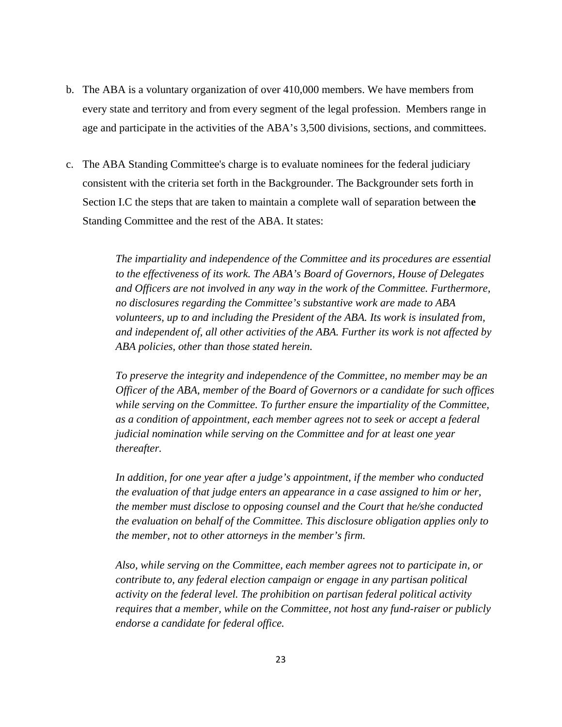- b. The ABA is a voluntary organization of over 410,000 members. We have members from every state and territory and from every segment of the legal profession. Members range in age and participate in the activities of the ABA's 3,500 divisions, sections, and committees.
- c. The ABA Standing Committee's charge is to evaluate nominees for the federal judiciary consistent with the criteria set forth in the Backgrounder. The Backgrounder sets forth in Section I.C the steps that are taken to maintain a complete wall of separation between th**e**  Standing Committee and the rest of the ABA. It states:

*The impartiality and independence of the Committee and its procedures are essential to the effectiveness of its work. The ABA's Board of Governors, House of Delegates and Officers are not involved in any way in the work of the Committee. Furthermore, no disclosures regarding the Committee's substantive work are made to ABA volunteers, up to and including the President of the ABA. Its work is insulated from, and independent of, all other activities of the ABA. Further its work is not affected by ABA policies, other than those stated herein.* 

*To preserve the integrity and independence of the Committee, no member may be an Officer of the ABA, member of the Board of Governors or a candidate for such offices while serving on the Committee. To further ensure the impartiality of the Committee, as a condition of appointment, each member agrees not to seek or accept a federal judicial nomination while serving on the Committee and for at least one year thereafter.* 

*In addition, for one year after a judge's appointment, if the member who conducted the evaluation of that judge enters an appearance in a case assigned to him or her, the member must disclose to opposing counsel and the Court that he/she conducted the evaluation on behalf of the Committee. This disclosure obligation applies only to the member, not to other attorneys in the member's firm.* 

*Also, while serving on the Committee, each member agrees not to participate in, or contribute to, any federal election campaign or engage in any partisan political activity on the federal level. The prohibition on partisan federal political activity requires that a member, while on the Committee, not host any fund-raiser or publicly endorse a candidate for federal office.*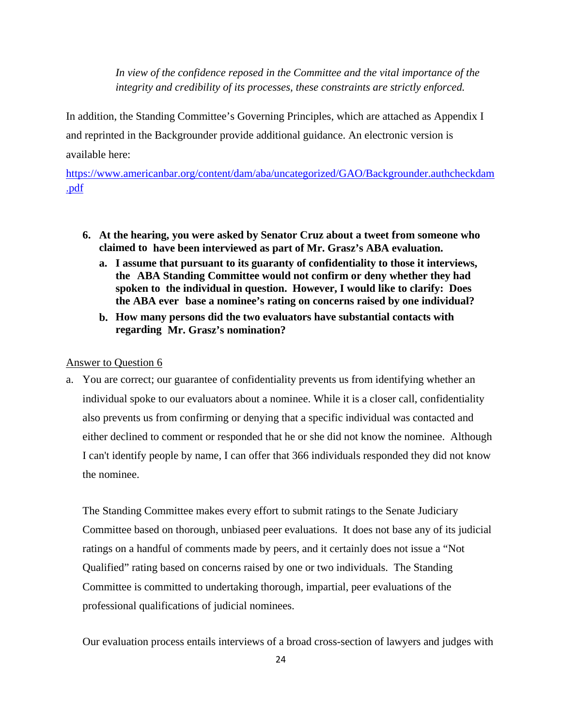*In view of the confidence reposed in the Committee and the vital importance of the integrity and credibility of its processes, these constraints are strictly enforced.* 

In addition, the Standing Committee's Governing Principles, which are attached as Appendix I and reprinted in the Backgrounder provide additional guidance. An electronic version is available here:

https://www.americanbar.org/content/dam/aba/uncategorized/GAO/Backgrounder.authcheckdam .pdf

- **6. At the hearing, you were asked by Senator Cruz about a tweet from someone who claimed to have been interviewed as part of Mr. Grasz's ABA evaluation.** 
	- **a. I assume that pursuant to its guaranty of confidentiality to those it interviews, the ABA Standing Committee would not confirm or deny whether they had spoken to the individual in question. However, I would like to clarify: Does the ABA ever base a nominee's rating on concerns raised by one individual?**
	- **b. How many persons did the two evaluators have substantial contacts with regarding Mr. Grasz's nomination?**

## Answer to Question 6

a. You are correct; our guarantee of confidentiality prevents us from identifying whether an individual spoke to our evaluators about a nominee. While it is a closer call, confidentiality also prevents us from confirming or denying that a specific individual was contacted and either declined to comment or responded that he or she did not know the nominee. Although I can't identify people by name, I can offer that 366 individuals responded they did not know the nominee.

The Standing Committee makes every effort to submit ratings to the Senate Judiciary Committee based on thorough, unbiased peer evaluations. It does not base any of its judicial ratings on a handful of comments made by peers, and it certainly does not issue a "Not Qualified" rating based on concerns raised by one or two individuals. The Standing Committee is committed to undertaking thorough, impartial, peer evaluations of the professional qualifications of judicial nominees.

Our evaluation process entails interviews of a broad cross-section of lawyers and judges with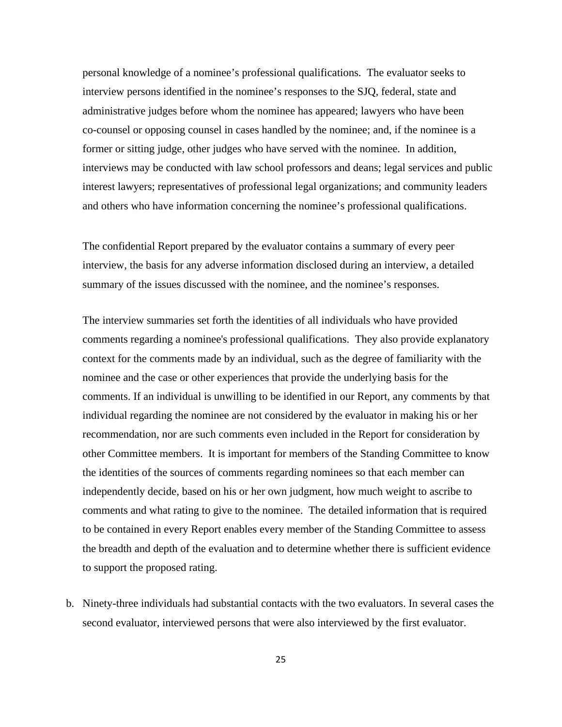personal knowledge of a nominee's professional qualifications. The evaluator seeks to interview persons identified in the nominee's responses to the SJQ, federal, state and administrative judges before whom the nominee has appeared; lawyers who have been co-counsel or opposing counsel in cases handled by the nominee; and, if the nominee is a former or sitting judge, other judges who have served with the nominee. In addition, interviews may be conducted with law school professors and deans; legal services and public interest lawyers; representatives of professional legal organizations; and community leaders and others who have information concerning the nominee's professional qualifications.

The confidential Report prepared by the evaluator contains a summary of every peer interview, the basis for any adverse information disclosed during an interview, a detailed summary of the issues discussed with the nominee, and the nominee's responses.

The interview summaries set forth the identities of all individuals who have provided comments regarding a nominee's professional qualifications. They also provide explanatory context for the comments made by an individual, such as the degree of familiarity with the nominee and the case or other experiences that provide the underlying basis for the comments. If an individual is unwilling to be identified in our Report, any comments by that individual regarding the nominee are not considered by the evaluator in making his or her recommendation, nor are such comments even included in the Report for consideration by other Committee members. It is important for members of the Standing Committee to know the identities of the sources of comments regarding nominees so that each member can independently decide, based on his or her own judgment, how much weight to ascribe to comments and what rating to give to the nominee. The detailed information that is required to be contained in every Report enables every member of the Standing Committee to assess the breadth and depth of the evaluation and to determine whether there is sufficient evidence to support the proposed rating.

b. Ninety-three individuals had substantial contacts with the two evaluators. In several cases the second evaluator, interviewed persons that were also interviewed by the first evaluator.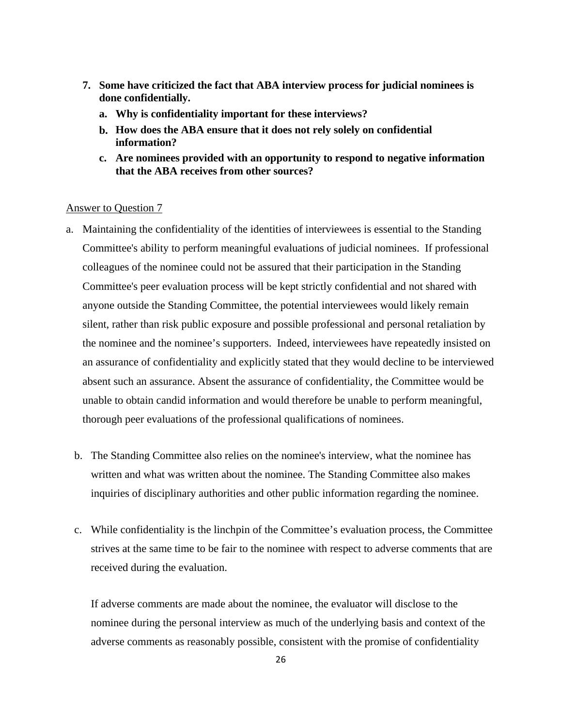- **7. Some have criticized the fact that ABA interview process for judicial nominees is done confidentially.** 
	- **a. Why is confidentiality important for these interviews?**
	- **b. How does the ABA ensure that it does not rely solely on confidential information?**
	- **c. Are nominees provided with an opportunity to respond to negative information that the ABA receives from other sources?**

### Answer to Question 7

- a. Maintaining the confidentiality of the identities of interviewees is essential to the Standing Committee's ability to perform meaningful evaluations of judicial nominees. If professional colleagues of the nominee could not be assured that their participation in the Standing Committee's peer evaluation process will be kept strictly confidential and not shared with anyone outside the Standing Committee, the potential interviewees would likely remain silent, rather than risk public exposure and possible professional and personal retaliation by the nominee and the nominee's supporters. Indeed, interviewees have repeatedly insisted on an assurance of confidentiality and explicitly stated that they would decline to be interviewed absent such an assurance. Absent the assurance of confidentiality, the Committee would be unable to obtain candid information and would therefore be unable to perform meaningful, thorough peer evaluations of the professional qualifications of nominees.
	- b. The Standing Committee also relies on the nominee's interview, what the nominee has written and what was written about the nominee. The Standing Committee also makes inquiries of disciplinary authorities and other public information regarding the nominee.
	- c. While confidentiality is the linchpin of the Committee's evaluation process, the Committee strives at the same time to be fair to the nominee with respect to adverse comments that are received during the evaluation.

If adverse comments are made about the nominee, the evaluator will disclose to the nominee during the personal interview as much of the underlying basis and context of the adverse comments as reasonably possible, consistent with the promise of confidentiality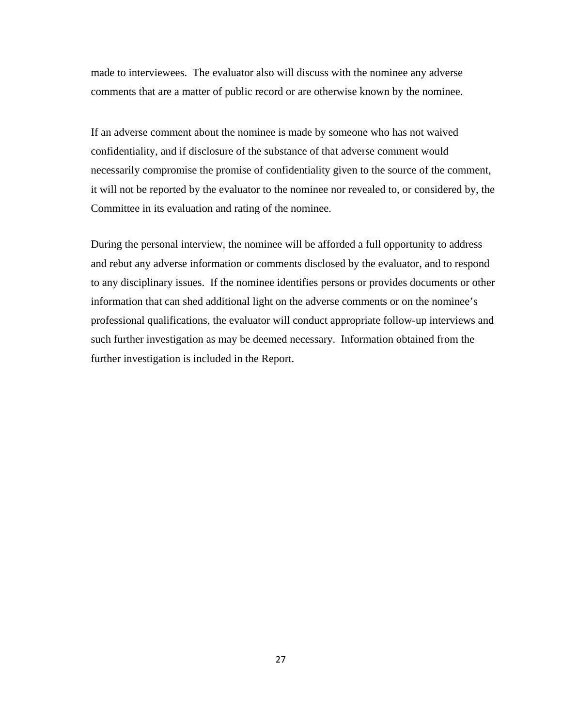made to interviewees. The evaluator also will discuss with the nominee any adverse comments that are a matter of public record or are otherwise known by the nominee.

If an adverse comment about the nominee is made by someone who has not waived confidentiality, and if disclosure of the substance of that adverse comment would necessarily compromise the promise of confidentiality given to the source of the comment, it will not be reported by the evaluator to the nominee nor revealed to, or considered by, the Committee in its evaluation and rating of the nominee.

During the personal interview, the nominee will be afforded a full opportunity to address and rebut any adverse information or comments disclosed by the evaluator, and to respond to any disciplinary issues. If the nominee identifies persons or provides documents or other information that can shed additional light on the adverse comments or on the nominee's professional qualifications, the evaluator will conduct appropriate follow-up interviews and such further investigation as may be deemed necessary. Information obtained from the further investigation is included in the Report.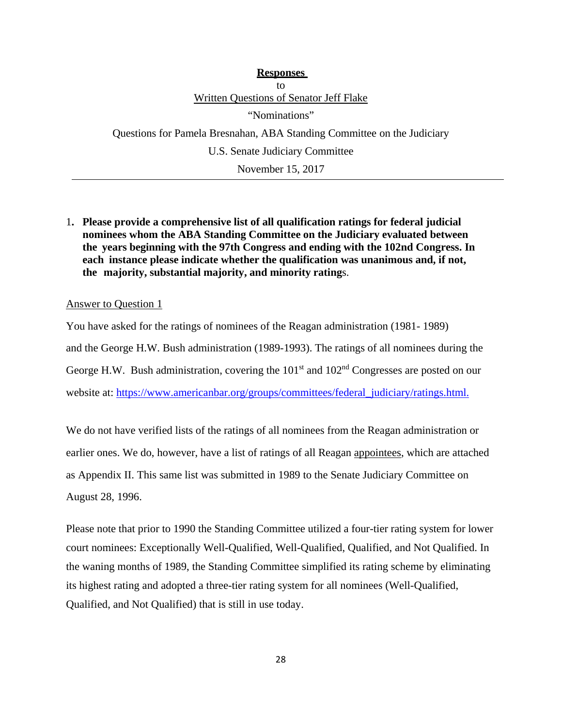**Responses**  to Written Questions of Senator Jeff Flake "Nominations" Questions for Pamela Bresnahan, ABA Standing Committee on the Judiciary U.S. Senate Judiciary Committee November 15, 2017

1**. Please provide a comprehensive list of all qualification ratings for federal judicial nominees whom the ABA Standing Committee on the Judiciary evaluated between the years beginning with the 97th Congress and ending with the 102nd Congress. In each instance please indicate whether the qualification was unanimous and, if not, the majority, substantial majority, and minority rating**s.

### Answer to Question 1

You have asked for the ratings of nominees of the Reagan administration (1981- 1989) and the George H.W. Bush administration (1989-1993). The ratings of all nominees during the George H.W. Bush administration, covering the  $101<sup>st</sup>$  and  $102<sup>nd</sup>$  Congresses are posted on our website at: https://www.americanbar.org/groups/committees/federal\_judiciary/ratings.html.

We do not have verified lists of the ratings of all nominees from the Reagan administration or earlier ones. We do, however, have a list of ratings of all Reagan appointees, which are attached as Appendix II. This same list was submitted in 1989 to the Senate Judiciary Committee on August 28, 1996.

Please note that prior to 1990 the Standing Committee utilized a four-tier rating system for lower court nominees: Exceptionally Well-Qualified, Well-Qualified, Qualified, and Not Qualified. In the waning months of 1989, the Standing Committee simplified its rating scheme by eliminating its highest rating and adopted a three-tier rating system for all nominees (Well-Qualified, Qualified, and Not Qualified) that is still in use today.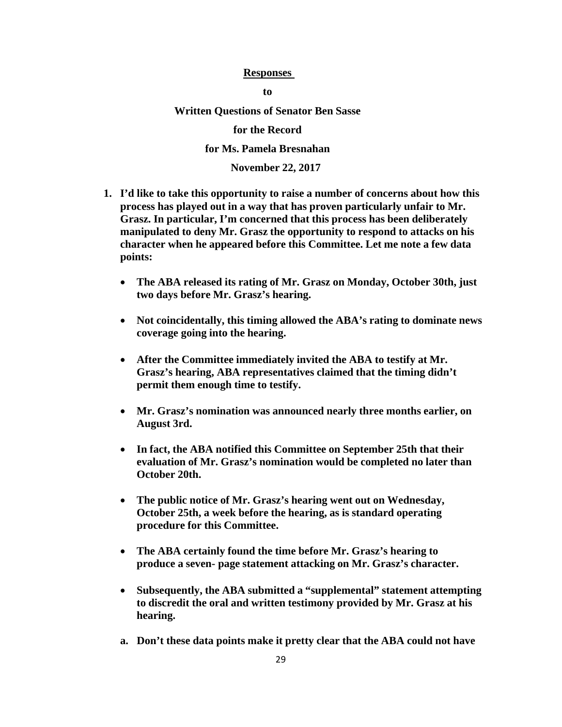### **Responses**

**to** 

**Written Questions of Senator Ben Sasse** 

**for the Record** 

**for Ms. Pamela Bresnahan**

**November 22, 2017** 

- **1. I'd like to take this opportunity to raise a number of concerns about how this process has played out in a way that has proven particularly unfair to Mr. Grasz. In particular, I'm concerned that this process has been deliberately manipulated to deny Mr. Grasz the opportunity to respond to attacks on his character when he appeared before this Committee. Let me note a few data points:** 
	- **The ABA released its rating of Mr. Grasz on Monday, October 30th, just two days before Mr. Grasz's hearing.**
	- **Not coincidentally, this timing allowed the ABA's rating to dominate news coverage going into the hearing.**
	- **After the Committee immediately invited the ABA to testify at Mr. Grasz's hearing, ABA representatives claimed that the timing didn't permit them enough time to testify.**
	- **Mr. Grasz's nomination was announced nearly three months earlier, on August 3rd.**
	- **In fact, the ABA notified this Committee on September 25th that their evaluation of Mr. Grasz's nomination would be completed no later than October 20th.**
	- **The public notice of Mr. Grasz's hearing went out on Wednesday, October 25th, a week before the hearing, as is standard operating procedure for this Committee.**
	- **The ABA certainly found the time before Mr. Grasz's hearing to produce a seven- page statement attacking on Mr. Grasz's character.**
	- **Subsequently, the ABA submitted a "supplemental" statement attempting to discredit the oral and written testimony provided by Mr. Grasz at his hearing.**
	- **a. Don't these data points make it pretty clear that the ABA could not have**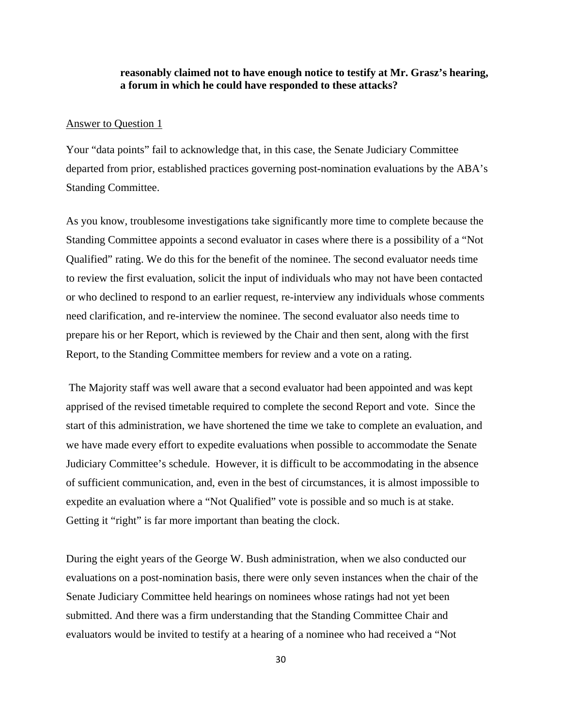# **reasonably claimed not to have enough notice to testify at Mr. Grasz's hearing, a forum in which he could have responded to these attacks?**

#### Answer to Question 1

Your "data points" fail to acknowledge that, in this case, the Senate Judiciary Committee departed from prior, established practices governing post-nomination evaluations by the ABA's Standing Committee.

As you know, troublesome investigations take significantly more time to complete because the Standing Committee appoints a second evaluator in cases where there is a possibility of a "Not Qualified" rating. We do this for the benefit of the nominee. The second evaluator needs time to review the first evaluation, solicit the input of individuals who may not have been contacted or who declined to respond to an earlier request, re-interview any individuals whose comments need clarification, and re-interview the nominee. The second evaluator also needs time to prepare his or her Report, which is reviewed by the Chair and then sent, along with the first Report, to the Standing Committee members for review and a vote on a rating.

 The Majority staff was well aware that a second evaluator had been appointed and was kept apprised of the revised timetable required to complete the second Report and vote. Since the start of this administration, we have shortened the time we take to complete an evaluation, and we have made every effort to expedite evaluations when possible to accommodate the Senate Judiciary Committee's schedule. However, it is difficult to be accommodating in the absence of sufficient communication, and, even in the best of circumstances, it is almost impossible to expedite an evaluation where a "Not Qualified" vote is possible and so much is at stake. Getting it "right" is far more important than beating the clock.

During the eight years of the George W. Bush administration, when we also conducted our evaluations on a post-nomination basis, there were only seven instances when the chair of the Senate Judiciary Committee held hearings on nominees whose ratings had not yet been submitted. And there was a firm understanding that the Standing Committee Chair and evaluators would be invited to testify at a hearing of a nominee who had received a "Not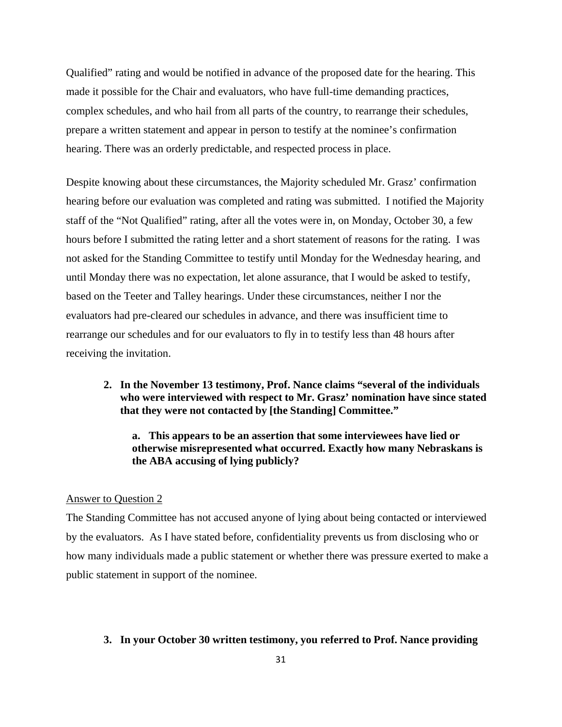Qualified" rating and would be notified in advance of the proposed date for the hearing. This made it possible for the Chair and evaluators, who have full-time demanding practices, complex schedules, and who hail from all parts of the country, to rearrange their schedules, prepare a written statement and appear in person to testify at the nominee's confirmation hearing. There was an orderly predictable, and respected process in place.

Despite knowing about these circumstances, the Majority scheduled Mr. Grasz' confirmation hearing before our evaluation was completed and rating was submitted. I notified the Majority staff of the "Not Qualified" rating, after all the votes were in, on Monday, October 30, a few hours before I submitted the rating letter and a short statement of reasons for the rating. I was not asked for the Standing Committee to testify until Monday for the Wednesday hearing, and until Monday there was no expectation, let alone assurance, that I would be asked to testify, based on the Teeter and Talley hearings. Under these circumstances, neither I nor the evaluators had pre-cleared our schedules in advance, and there was insufficient time to rearrange our schedules and for our evaluators to fly in to testify less than 48 hours after receiving the invitation.

**2. In the November 13 testimony, Prof. Nance claims "several of the individuals who were interviewed with respect to Mr. Grasz' nomination have since stated that they were not contacted by [the Standing] Committee."** 

**a. This appears to be an assertion that some interviewees have lied or otherwise misrepresented what occurred. Exactly how many Nebraskans is the ABA accusing of lying publicly?** 

# Answer to Question 2

The Standing Committee has not accused anyone of lying about being contacted or interviewed by the evaluators. As I have stated before, confidentiality prevents us from disclosing who or how many individuals made a public statement or whether there was pressure exerted to make a public statement in support of the nominee.

#### **3. In your October 30 written testimony, you referred to Prof. Nance providing**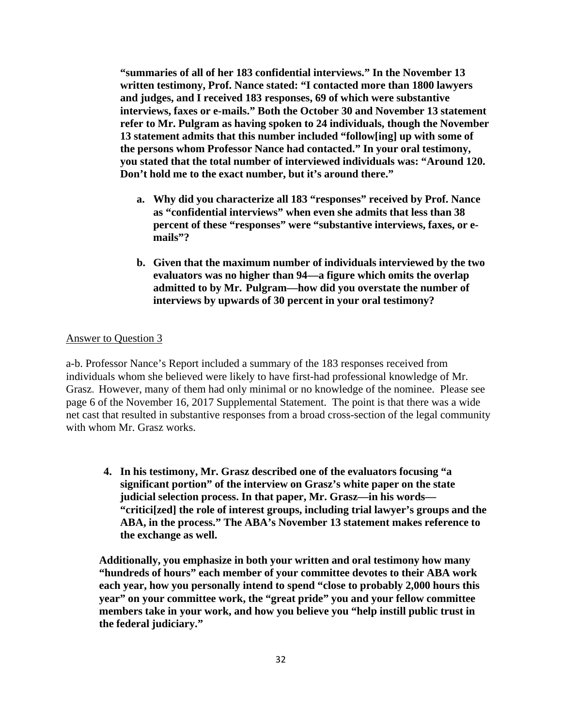**"summaries of all of her 183 confidential interviews." In the November 13 written testimony, Prof. Nance stated: "I contacted more than 1800 lawyers and judges, and I received 183 responses, 69 of which were substantive interviews, faxes or e-mails." Both the October 30 and November 13 statement refer to Mr. Pulgram as having spoken to 24 individuals, though the November 13 statement admits that this number included "follow[ing] up with some of the persons whom Professor Nance had contacted." In your oral testimony, you stated that the total number of interviewed individuals was: "Around 120. Don't hold me to the exact number, but it's around there."** 

- **a. Why did you characterize all 183 "responses" received by Prof. Nance as "confidential interviews" when even she admits that less than 38 percent of these "responses" were "substantive interviews, faxes, or emails"?**
- **b. Given that the maximum number of individuals interviewed by the two evaluators was no higher than 94—a figure which omits the overlap admitted to by Mr. Pulgram—how did you overstate the number of interviews by upwards of 30 percent in your oral testimony?**

### Answer to Question 3

a-b. Professor Nance's Report included a summary of the 183 responses received from individuals whom she believed were likely to have first-had professional knowledge of Mr. Grasz. However, many of them had only minimal or no knowledge of the nominee. Please see page 6 of the November 16, 2017 Supplemental Statement. The point is that there was a wide net cast that resulted in substantive responses from a broad cross-section of the legal community with whom Mr. Grasz works.

**4. In his testimony, Mr. Grasz described one of the evaluators focusing "a significant portion" of the interview on Grasz's white paper on the state judicial selection process. In that paper, Mr. Grasz—in his words— "critici[zed] the role of interest groups, including trial lawyer's groups and the ABA, in the process." The ABA's November 13 statement makes reference to the exchange as well.** 

**Additionally, you emphasize in both your written and oral testimony how many "hundreds of hours" each member of your committee devotes to their ABA work each year, how you personally intend to spend "close to probably 2,000 hours this year" on your committee work, the "great pride" you and your fellow committee members take in your work, and how you believe you "help instill public trust in the federal judiciary."**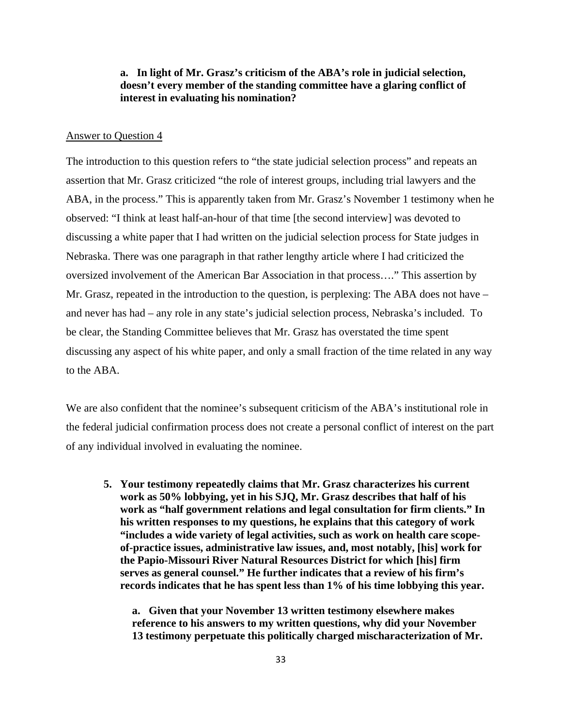# **a. In light of Mr. Grasz's criticism of the ABA's role in judicial selection, doesn't every member of the standing committee have a glaring conflict of interest in evaluating his nomination?**

### Answer to Question 4

The introduction to this question refers to "the state judicial selection process" and repeats an assertion that Mr. Grasz criticized "the role of interest groups, including trial lawyers and the ABA, in the process." This is apparently taken from Mr. Grasz's November 1 testimony when he observed: "I think at least half-an-hour of that time [the second interview] was devoted to discussing a white paper that I had written on the judicial selection process for State judges in Nebraska. There was one paragraph in that rather lengthy article where I had criticized the oversized involvement of the American Bar Association in that process…." This assertion by Mr. Grasz, repeated in the introduction to the question, is perplexing: The ABA does not have – and never has had – any role in any state's judicial selection process, Nebraska's included. To be clear, the Standing Committee believes that Mr. Grasz has overstated the time spent discussing any aspect of his white paper, and only a small fraction of the time related in any way to the ABA.

We are also confident that the nominee's subsequent criticism of the ABA's institutional role in the federal judicial confirmation process does not create a personal conflict of interest on the part of any individual involved in evaluating the nominee.

**5. Your testimony repeatedly claims that Mr. Grasz characterizes his current work as 50% lobbying, yet in his SJQ, Mr. Grasz describes that half of his work as "half government relations and legal consultation for firm clients." In his written responses to my questions, he explains that this category of work "includes a wide variety of legal activities, such as work on health care scopeof-practice issues, administrative law issues, and, most notably, [his] work for the Papio-Missouri River Natural Resources District for which [his] firm serves as general counsel." He further indicates that a review of his firm's records indicates that he has spent less than 1% of his time lobbying this year.** 

**a. Given that your November 13 written testimony elsewhere makes reference to his answers to my written questions, why did your November 13 testimony perpetuate this politically charged mischaracterization of Mr.**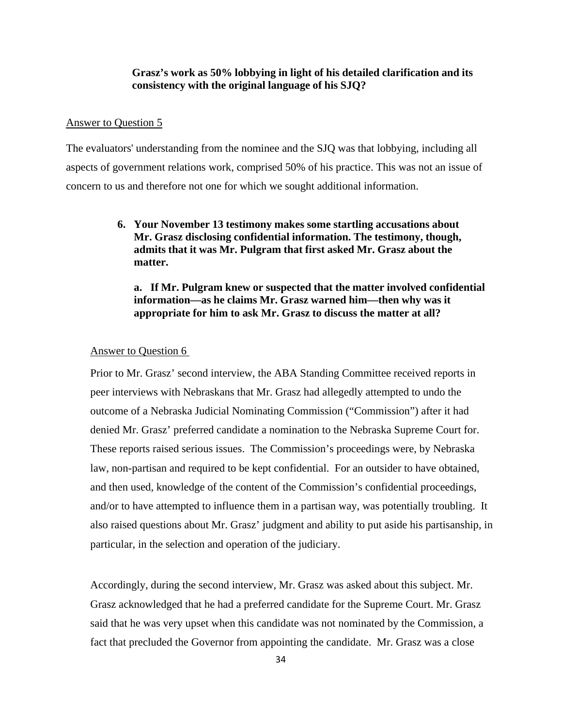# **Grasz's work as 50% lobbying in light of his detailed clarification and its consistency with the original language of his SJQ?**

### Answer to Question 5

The evaluators' understanding from the nominee and the SJQ was that lobbying, including all aspects of government relations work, comprised 50% of his practice. This was not an issue of concern to us and therefore not one for which we sought additional information.

# **6. Your November 13 testimony makes some startling accusations about Mr. Grasz disclosing confidential information. The testimony, though, admits that it was Mr. Pulgram that first asked Mr. Grasz about the matter.**

**a. If Mr. Pulgram knew or suspected that the matter involved confidential information—as he claims Mr. Grasz warned him—then why was it appropriate for him to ask Mr. Grasz to discuss the matter at all?** 

#### Answer to Question 6

Prior to Mr. Grasz' second interview, the ABA Standing Committee received reports in peer interviews with Nebraskans that Mr. Grasz had allegedly attempted to undo the outcome of a Nebraska Judicial Nominating Commission ("Commission") after it had denied Mr. Grasz' preferred candidate a nomination to the Nebraska Supreme Court for. These reports raised serious issues. The Commission's proceedings were, by Nebraska law, non-partisan and required to be kept confidential. For an outsider to have obtained, and then used, knowledge of the content of the Commission's confidential proceedings, and/or to have attempted to influence them in a partisan way, was potentially troubling. It also raised questions about Mr. Grasz' judgment and ability to put aside his partisanship, in particular, in the selection and operation of the judiciary.

Accordingly, during the second interview, Mr. Grasz was asked about this subject. Mr. Grasz acknowledged that he had a preferred candidate for the Supreme Court. Mr. Grasz said that he was very upset when this candidate was not nominated by the Commission, a fact that precluded the Governor from appointing the candidate. Mr. Grasz was a close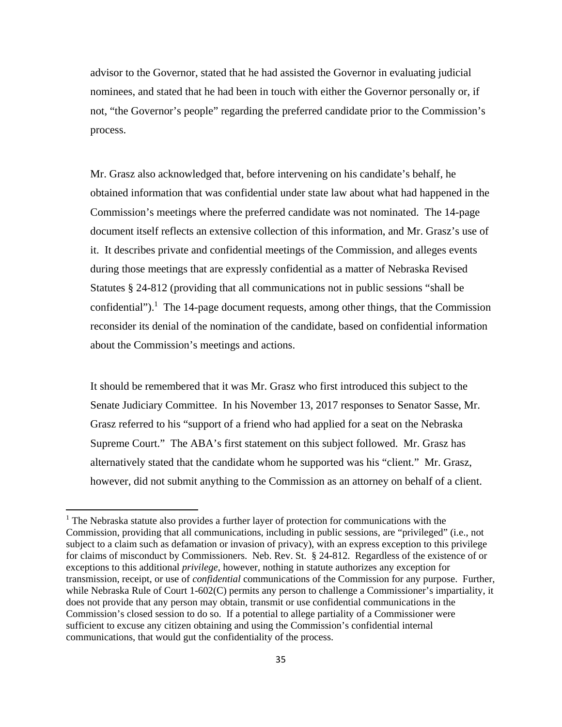advisor to the Governor, stated that he had assisted the Governor in evaluating judicial nominees, and stated that he had been in touch with either the Governor personally or, if not, "the Governor's people" regarding the preferred candidate prior to the Commission's process.

Mr. Grasz also acknowledged that, before intervening on his candidate's behalf, he obtained information that was confidential under state law about what had happened in the Commission's meetings where the preferred candidate was not nominated. The 14-page document itself reflects an extensive collection of this information, and Mr. Grasz's use of it. It describes private and confidential meetings of the Commission, and alleges events during those meetings that are expressly confidential as a matter of Nebraska Revised Statutes § 24-812 (providing that all communications not in public sessions "shall be confidential").<sup>1</sup> The 14-page document requests, among other things, that the Commission reconsider its denial of the nomination of the candidate, based on confidential information about the Commission's meetings and actions.

It should be remembered that it was Mr. Grasz who first introduced this subject to the Senate Judiciary Committee. In his November 13, 2017 responses to Senator Sasse, Mr. Grasz referred to his "support of a friend who had applied for a seat on the Nebraska Supreme Court." The ABA's first statement on this subject followed. Mr. Grasz has alternatively stated that the candidate whom he supported was his "client." Mr. Grasz, however, did not submit anything to the Commission as an attorney on behalf of a client.

<sup>&</sup>lt;sup>1</sup> The Nebraska statute also provides a further layer of protection for communications with the Commission, providing that all communications, including in public sessions, are "privileged" (i.e., not subject to a claim such as defamation or invasion of privacy), with an express exception to this privilege for claims of misconduct by Commissioners. Neb. Rev. St. § 24-812. Regardless of the existence of or exceptions to this additional *privilege*, however, nothing in statute authorizes any exception for transmission, receipt, or use of *confidential* communications of the Commission for any purpose. Further, while Nebraska Rule of Court 1-602(C) permits any person to challenge a Commissioner's impartiality, it does not provide that any person may obtain, transmit or use confidential communications in the Commission's closed session to do so. If a potential to allege partiality of a Commissioner were sufficient to excuse any citizen obtaining and using the Commission's confidential internal communications, that would gut the confidentiality of the process.